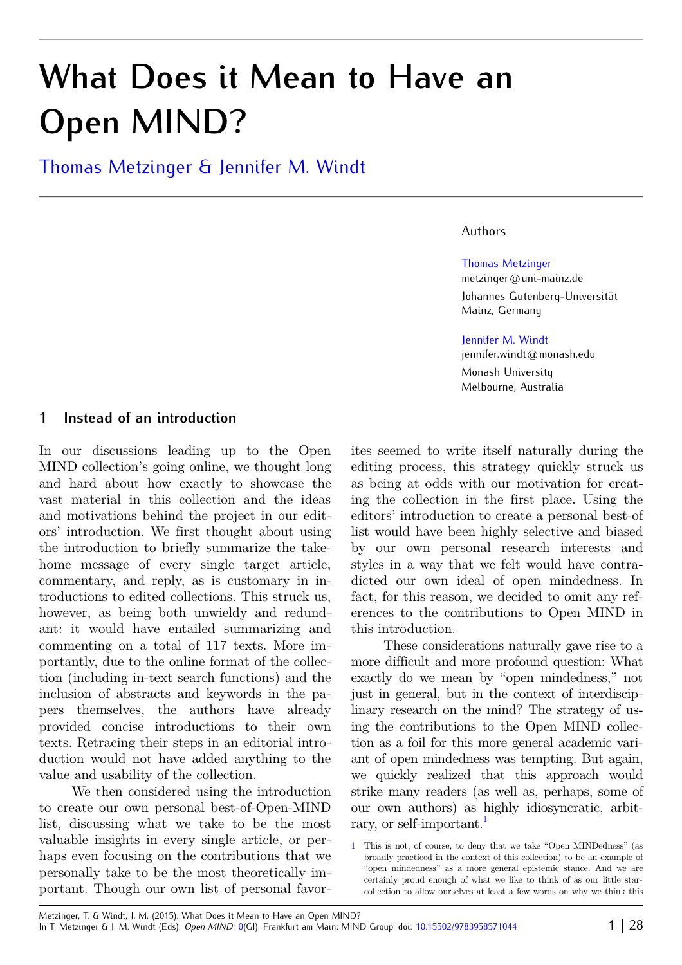# **What Does it Mean to Have an Open MIND?**

[Thomas Metzinger](http://www.open-mind.net/showAuthor?author=Thomas_Metzinger) & [Jennifer M. Windt](http://www.open-mind.net/showAuthor?author=JenniferM_Windt)

#### Authors

#### [Thomas Metzinger](http://www.open-mind.net/showAuthor?author=Thomas_Metzinger)

metzinger@uni-mainz.de     Johannes Gutenberg-Universität Mainz, Germany

[Jennifer M. Windt](http://www.open-mind.net/showAuthor?author=JenniferM_Windt) jennifer.windt@monash.edu     Monash University

Melbourne, Australia

#### **1 Instead of an introduction**

In our discussions leading up to the Open MIND collection's going online, we thought long and hard about how exactly to showcase the vast material in this collection and the ideas and motivations behind the project in our editors' introduction. We first thought about using the introduction to briefly summarize the takehome message of every single target article, commentary, and reply, as is customary in introductions to edited collections. This struck us, however, as being both unwieldy and redundant: it would have entailed summarizing and commenting on a total of 117 texts. More importantly, due to the online format of the collection (including in-text search functions) and the inclusion of abstracts and keywords in the papers themselves, the authors have already provided concise introductions to their own texts. Retracing their steps in an editorial introduction would not have added anything to the value and usability of the collection.

We then considered using the introduction to create our own personal best-of-Open-MIND list, discussing what we take to be the most valuable insights in every single article, or perhaps even focusing on the contributions that we personally take to be the most theoretically important. Though our own list of personal favorites seemed to write itself naturally during the editing process, this strategy quickly struck us as being at odds with our motivation for creating the collection in the first place. Using the editors' introduction to create a personal best-of list would have been highly selective and biased by our own personal research interests and styles in a way that we felt would have contradicted our own ideal of open mindedness. In fact, for this reason, we decided to omit any references to the contributions to Open MIND in this introduction.

These considerations naturally gave rise to a more difficult and more profound question: What exactly do we mean by "open mindedness," not just in general, but in the context of interdisciplinary research on the mind? The strategy of using the contributions to the Open MIND collection as a foil for this more general academic variant of open mindedness was tempting. But again, we quickly realized that this approach would strike many readers (as well as, perhaps, some of our own authors) as highly idiosyncratic, arbit-rary, or self-important.<sup>[1](#page-0-0)</sup>

<span id="page-0-0"></span>1 This is not, of course, to deny that we take "Open MINDedness" (as broadly practiced in the context of this collection) to be an example of "open mindedness" as a more general epistemic stance. And we are certainly proud enough of what we like to think of as our little starcollection to allow ourselves at least a few words on why we think this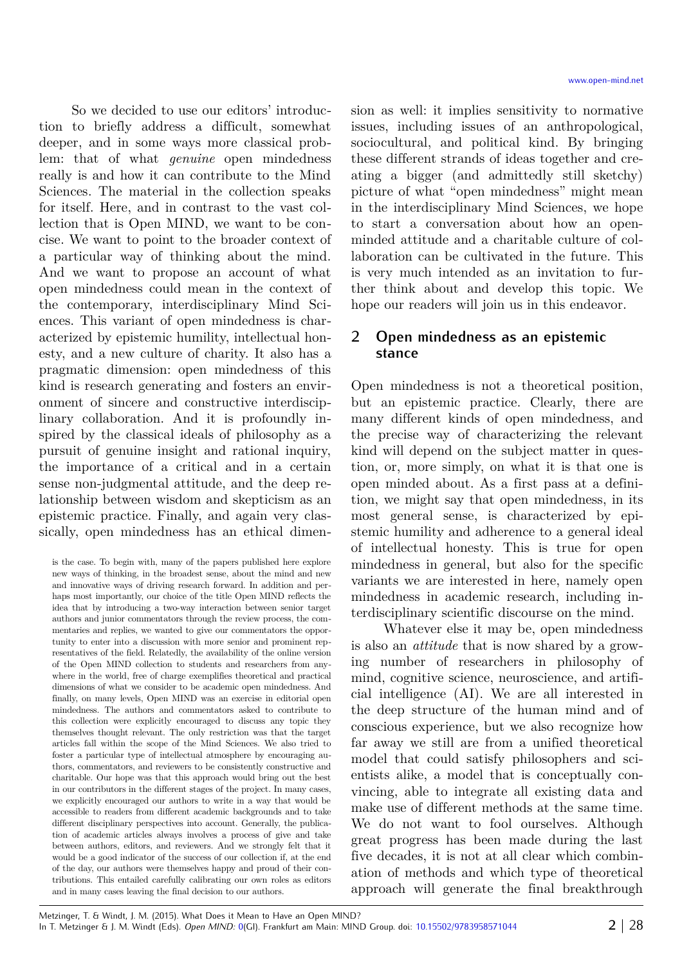[www.open-mind.net](http://www.open-mind.net/)

So we decided to use our editors' introduction to briefly address a difficult, somewhat deeper, and in some ways more classical problem: that of what *genuine* open mindedness really is and how it can contribute to the Mind Sciences. The material in the collection speaks for itself. Here, and in contrast to the vast collection that is Open MIND, we want to be concise. We want to point to the broader context of a particular way of thinking about the mind. And we want to propose an account of what open mindedness could mean in the context of the contemporary, interdisciplinary Mind Sciences. This variant of open mindedness is characterized by epistemic humility, intellectual honesty, and a new culture of charity. It also has a pragmatic dimension: open mindedness of this kind is research generating and fosters an environment of sincere and constructive interdisciplinary collaboration. And it is profoundly inspired by the classical ideals of philosophy as a pursuit of genuine insight and rational inquiry, the importance of a critical and in a certain sense non-judgmental attitude, and the deep relationship between wisdom and skepticism as an epistemic practice. Finally, and again very classically, open mindedness has an ethical dimen-

is the case. To begin with, many of the papers published here explore new ways of thinking, in the broadest sense, about the mind and new and innovative ways of driving research forward. In addition and perhaps most importantly, our choice of the title Open MIND reflects the idea that by introducing a two-way interaction between senior target authors and junior commentators through the review process, the commentaries and replies, we wanted to give our commentators the opportunity to enter into a discussion with more senior and prominent representatives of the field. Relatedly, the availability of the online version of the Open MIND collection to students and researchers from anywhere in the world, free of charge exemplifies theoretical and practical dimensions of what we consider to be academic open mindedness. And finally, on many levels, Open MIND was an exercise in editorial open mindedness. The authors and commentators asked to contribute to this collection were explicitly encouraged to discuss any topic they themselves thought relevant. The only restriction was that the target articles fall within the scope of the Mind Sciences. We also tried to foster a particular type of intellectual atmosphere by encouraging authors, commentators, and reviewers to be consistently constructive and charitable. Our hope was that this approach would bring out the best in our contributors in the different stages of the project. In many cases, we explicitly encouraged our authors to write in a way that would be accessible to readers from different academic backgrounds and to take different disciplinary perspectives into account. Generally, the publication of academic articles always involves a process of give and take between authors, editors, and reviewers. And we strongly felt that it would be a good indicator of the success of our collection if, at the end of the day, our authors were themselves happy and proud of their contributions. This entailed carefully calibrating our own roles as editors and in many cases leaving the final decision to our authors.

sion as well: it implies sensitivity to normative issues, including issues of an anthropological, sociocultural, and political kind. By bringing these different strands of ideas together and creating a bigger (and admittedly still sketchy) picture of what "open mindedness" might mean in the interdisciplinary Mind Sciences, we hope to start a conversation about how an openminded attitude and a charitable culture of collaboration can be cultivated in the future. This is very much intended as an invitation to further think about and develop this topic. We hope our readers will join us in this endeavor.

#### **2 Open mindedness as an epistemic stance**

Open mindedness is not a theoretical position, but an epistemic practice. Clearly, there are many different kinds of open mindedness, and the precise way of characterizing the relevant kind will depend on the subject matter in question, or, more simply, on what it is that one is open minded about. As a first pass at a definition, we might say that open mindedness, in its most general sense, is characterized by epistemic humility and adherence to a general ideal of intellectual honesty. This is true for open mindedness in general, but also for the specific variants we are interested in here, namely open mindedness in academic research, including interdisciplinary scientific discourse on the mind.

Whatever else it may be, open mindedness is also an *attitude* that is now shared by a growing number of researchers in philosophy of mind, cognitive science, neuroscience, and artificial intelligence (AI). We are all interested in the deep structure of the human mind and of conscious experience, but we also recognize how far away we still are from a unified theoretical model that could satisfy philosophers and scientists alike, a model that is conceptually convincing, able to integrate all existing data and make use of different methods at the same time. We do not want to fool ourselves. Although great progress has been made during the last five decades, it is not at all clear which combination of methods and which type of theoretical approach will generate the final breakthrough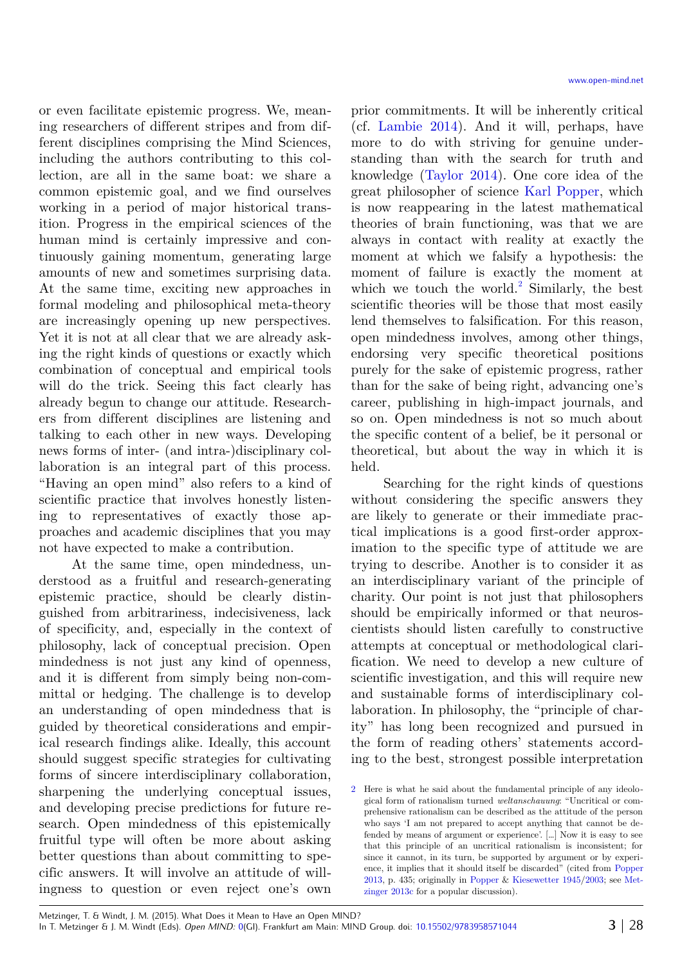or even facilitate epistemic progress. We, meaning researchers of different stripes and from different disciplines comprising the Mind Sciences, including the authors contributing to this collection, are all in the same boat: we share a common epistemic goal, and we find ourselves working in a period of major historical transition. Progress in the empirical sciences of the human mind is certainly impressive and continuously gaining momentum, generating large amounts of new and sometimes surprising data. At the same time, exciting new approaches in formal modeling and philosophical meta-theory are increasingly opening up new perspectives. Yet it is not at all clear that we are already asking the right kinds of questions or exactly which combination of conceptual and empirical tools will do the trick. Seeing this fact clearly has already begun to change our attitude. Researchers from different disciplines are listening and talking to each other in new ways. Developing news forms of inter- (and intra-)disciplinary collaboration is an integral part of this process. "Having an open mind" also refers to a kind of scientific practice that involves honestly listening to representatives of exactly those approaches and academic disciplines that you may not have expected to make a contribution.

At the same time, open mindedness, understood as a fruitful and research-generating epistemic practice, should be clearly distinguished from arbitrariness, indecisiveness, lack of specificity, and, especially in the context of philosophy, lack of conceptual precision. Open mindedness is not just any kind of openness, and it is different from simply being non-committal or hedging. The challenge is to develop an understanding of open mindedness that is guided by theoretical considerations and empirical research findings alike. Ideally, this account should suggest specific strategies for cultivating forms of sincere interdisciplinary collaboration, sharpening the underlying conceptual issues, and developing precise predictions for future research. Open mindedness of this epistemically fruitful type will often be more about asking better questions than about committing to specific answers. It will involve an attitude of willingness to question or even reject one's own prior commitments. It will be inherently critical (cf. [Lambie](#page-26-1) [2014\)](#page-26-1). And it will, perhaps, have more to do with striving for genuine understanding than with the search for truth and knowledge [\(Taylor](#page-27-2) [2014\)](#page-27-2). One core idea of the great philosopher of science [Karl](#page-27-1) [Popper,](#page-27-1) which is now reappearing in the latest mathematical theories of brain functioning, was that we are always in contact with reality at exactly the moment at which we falsify a hypothesis: the moment of failure is exactly the moment at which we touch the world.<sup>[2](#page-2-0)</sup> Similarly, the best scientific theories will be those that most easily lend themselves to falsification. For this reason, open mindedness involves, among other things, endorsing very specific theoretical positions purely for the sake of epistemic progress, rather than for the sake of being right, advancing one's career, publishing in high-impact journals, and so on. Open mindedness is not so much about the specific content of a belief, be it personal or theoretical, but about the way in which it is held.

Searching for the right kinds of questions without considering the specific answers they are likely to generate or their immediate practical implications is a good first-order approximation to the specific type of attitude we are trying to describe. Another is to consider it as an interdisciplinary variant of the principle of charity. Our point is not just that philosophers should be empirically informed or that neuroscientists should listen carefully to constructive attempts at conceptual or methodological clarification. We need to develop a new culture of scientific investigation, and this will require new and sustainable forms of interdisciplinary collaboration. In philosophy, the "principle of charity" has long been recognized and pursued in the form of reading others' statements according to the best, strongest possible interpretation

<span id="page-2-0"></span><sup>2</sup> Here is what he said about the fundamental principle of any ideological form of rationalism turned *weltanschauung*: "Uncritical or comprehensive rationalism can be described as the attitude of the person who says 'I am not prepared to accept anything that cannot be defended by means of argument or experience'. […] Now it is easy to see that this principle of an uncritical rationalism is inconsistent; for since it cannot, in its turn, be supported by argument or by experience, it implies that it should itself be discarded" (cited from [Popper](#page-27-1) [2013,](#page-27-1) p. 435; originally in [Popper](#page-27-0) & [Kiesewetter](#page-27-0) [1945/2003;](#page-27-0) see [Met](#page-26-0)[zinger](#page-26-0) [2013c](#page-26-0) for a popular discussion).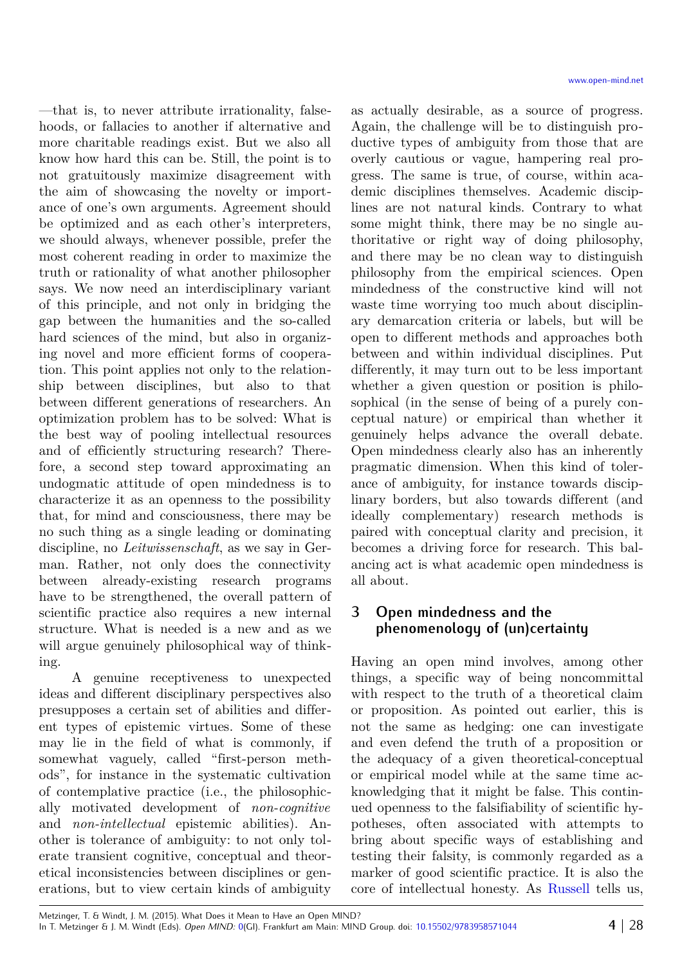—that is, to never attribute irrationality, falsehoods, or fallacies to another if alternative and more charitable readings exist. But we also all know how hard this can be. Still, the point is to not gratuitously maximize disagreement with the aim of showcasing the novelty or importance of one's own arguments. Agreement should be optimized and as each other's interpreters, we should always, whenever possible, prefer the most coherent reading in order to maximize the truth or rationality of what another philosopher says. We now need an interdisciplinary variant of this principle, and not only in bridging the gap between the humanities and the so-called hard sciences of the mind, but also in organizing novel and more efficient forms of cooperation. This point applies not only to the relationship between disciplines, but also to that between different generations of researchers. An optimization problem has to be solved: What is the best way of pooling intellectual resources and of efficiently structuring research? Therefore, a second step toward approximating an undogmatic attitude of open mindedness is to characterize it as an openness to the possibility that, for mind and consciousness, there may be no such thing as a single leading or dominating discipline, no *Leitwissenschaft*, as we say in German. Rather, not only does the connectivity between already-existing research programs have to be strengthened, the overall pattern of scientific practice also requires a new internal structure. What is needed is a new and as we will argue genuinely philosophical way of thinking.

A genuine receptiveness to unexpected ideas and different disciplinary perspectives also presupposes a certain set of abilities and different types of epistemic virtues. Some of these may lie in the field of what is commonly, if somewhat vaguely, called "first-person methods", for instance in the systematic cultivation of contemplative practice (i.e., the philosophically motivated development of *non-cognitive* and *non-intellectual* epistemic abilities). Another is tolerance of ambiguity: to not only tolerate transient cognitive, conceptual and theoretical inconsistencies between disciplines or generations, but to view certain kinds of ambiguity

as actually desirable, as a source of progress. Again, the challenge will be to distinguish productive types of ambiguity from those that are overly cautious or vague, hampering real progress. The same is true, of course, within academic disciplines themselves. Academic disciplines are not natural kinds. Contrary to what some might think, there may be no single authoritative or right way of doing philosophy, and there may be no clean way to distinguish philosophy from the empirical sciences. Open mindedness of the constructive kind will not waste time worrying too much about disciplinary demarcation criteria or labels, but will be open to different methods and approaches both between and within individual disciplines. Put differently, it may turn out to be less important whether a given question or position is philosophical (in the sense of being of a purely conceptual nature) or empirical than whether it genuinely helps advance the overall debate. Open mindedness clearly also has an inherently pragmatic dimension. When this kind of tolerance of ambiguity, for instance towards disciplinary borders, but also towards different (and ideally complementary) research methods is paired with conceptual clarity and precision, it becomes a driving force for research. This balancing act is what academic open mindedness is all about.

# **3 Open mindedness and the phenomenology of (un)certainty**

Having an open mind involves, among other things, a specific way of being noncommittal with respect to the truth of a theoretical claim or proposition. As pointed out earlier, this is not the same as hedging: one can investigate and even defend the truth of a proposition or the adequacy of a given theoretical-conceptual or empirical model while at the same time acknowledging that it might be false. This continued openness to the falsifiability of scientific hypotheses, often associated with attempts to bring about specific ways of establishing and testing their falsity, is commonly regarded as a marker of good scientific practice. It is also the core of intellectual honesty. As [Russell](#page-27-3) tells us,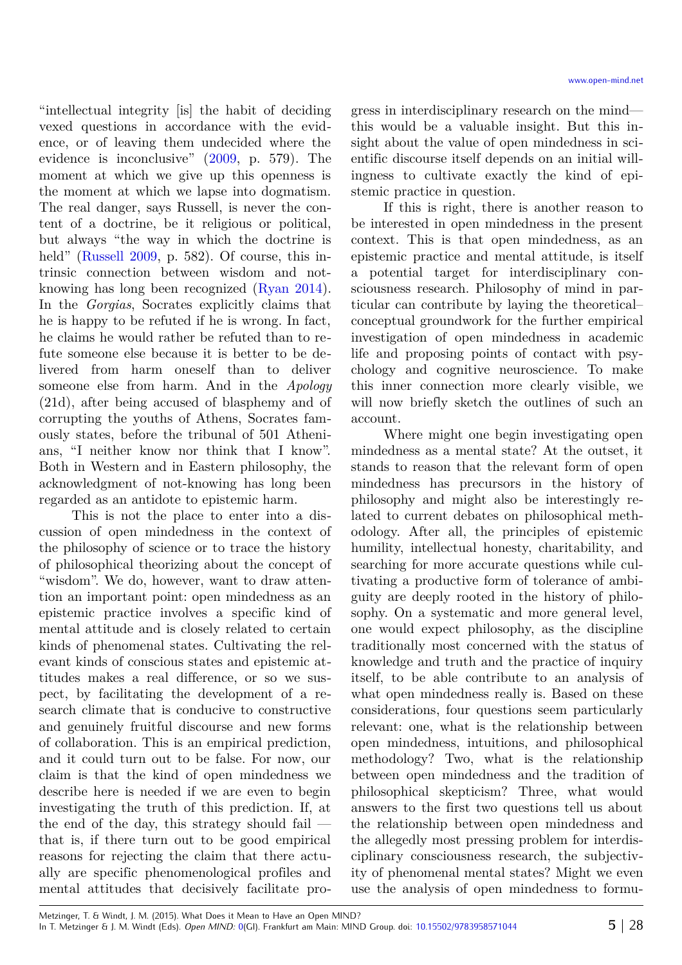"intellectual integrity [is] the habit of deciding vexed questions in accordance with the evidence, or of leaving them undecided where the evidence is inconclusive" [\(2009,](#page-27-3) p. 579). The moment at which we give up this openness is the moment at which we lapse into dogmatism. The real danger, says Russell, is never the content of a doctrine, be it religious or political, but always "the way in which the doctrine is held" [\(Russell](#page-27-3) [2009,](#page-27-3) p. 582). Of course, this intrinsic connection between wisdom and notknowing has long been recognized [\(Ryan](#page-27-4) [2014\)](#page-27-4). In the *Gorgias*, Socrates explicitly claims that he is happy to be refuted if he is wrong. In fact, he claims he would rather be refuted than to refute someone else because it is better to be delivered from harm oneself than to deliver someone else from harm. And in the *Apology* (21d), after being accused of blasphemy and of corrupting the youths of Athens, Socrates famously states, before the tribunal of 501 Athenians, "I neither know nor think that I know". Both in Western and in Eastern philosophy, the acknowledgment of not-knowing has long been regarded as an antidote to epistemic harm.

This is not the place to enter into a discussion of open mindedness in the context of the philosophy of science or to trace the history of philosophical theorizing about the concept of "wisdom". We do, however, want to draw attention an important point: open mindedness as an epistemic practice involves a specific kind of mental attitude and is closely related to certain kinds of phenomenal states. Cultivating the relevant kinds of conscious states and epistemic attitudes makes a real difference, or so we suspect, by facilitating the development of a research climate that is conducive to constructive and genuinely fruitful discourse and new forms of collaboration. This is an empirical prediction, and it could turn out to be false. For now, our claim is that the kind of open mindedness we describe here is needed if we are even to begin investigating the truth of this prediction. If, at the end of the day, this strategy should fail that is, if there turn out to be good empirical reasons for rejecting the claim that there actually are specific phenomenological profiles and mental attitudes that decisively facilitate progress in interdisciplinary research on the mind this would be a valuable insight. But this insight about the value of open mindedness in scientific discourse itself depends on an initial willingness to cultivate exactly the kind of epistemic practice in question.

If this is right, there is another reason to be interested in open mindedness in the present context. This is that open mindedness, as an epistemic practice and mental attitude, is itself a potential target for interdisciplinary consciousness research. Philosophy of mind in particular can contribute by laying the theoretical– conceptual groundwork for the further empirical investigation of open mindedness in academic life and proposing points of contact with psychology and cognitive neuroscience. To make this inner connection more clearly visible, we will now briefly sketch the outlines of such an account.

Where might one begin investigating open mindedness as a mental state? At the outset, it stands to reason that the relevant form of open mindedness has precursors in the history of philosophy and might also be interestingly related to current debates on philosophical methodology. After all, the principles of epistemic humility, intellectual honesty, charitability, and searching for more accurate questions while cultivating a productive form of tolerance of ambiguity are deeply rooted in the history of philosophy. On a systematic and more general level, one would expect philosophy, as the discipline traditionally most concerned with the status of knowledge and truth and the practice of inquiry itself, to be able contribute to an analysis of what open mindedness really is. Based on these considerations, four questions seem particularly relevant: one, what is the relationship between open mindedness, intuitions, and philosophical methodology? Two, what is the relationship between open mindedness and the tradition of philosophical skepticism? Three, what would answers to the first two questions tell us about the relationship between open mindedness and the allegedly most pressing problem for interdisciplinary consciousness research, the subjectivity of phenomenal mental states? Might we even use the analysis of open mindedness to formu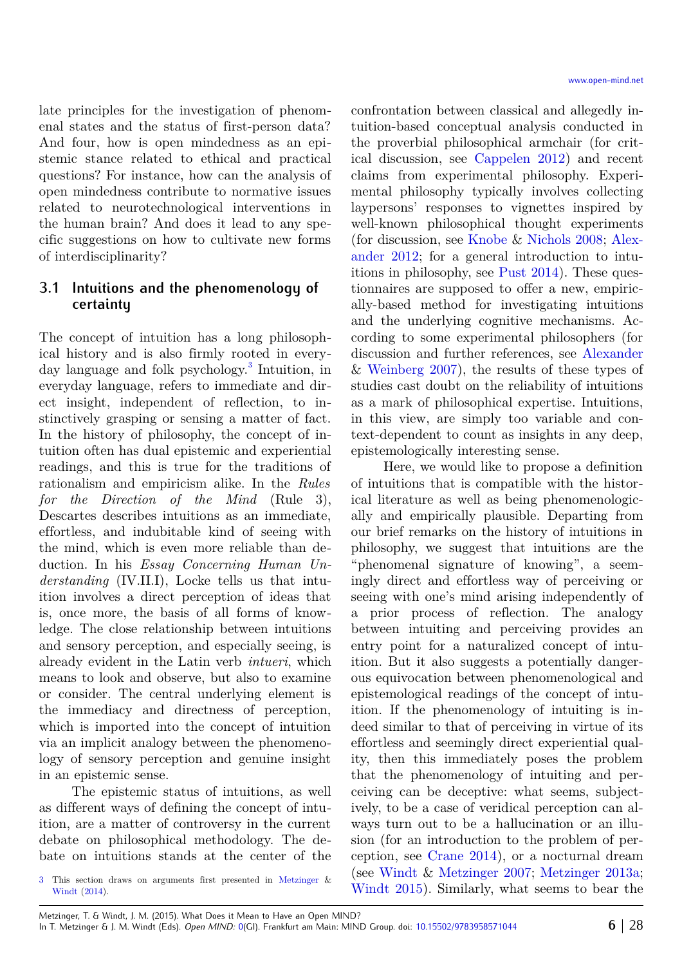late principles for the investigation of phenomenal states and the status of first-person data? And four, how is open mindedness as an epistemic stance related to ethical and practical questions? For instance, how can the analysis of open mindedness contribute to normative issues related to neurotechnological interventions in the human brain? And does it lead to any specific suggestions on how to cultivate new forms of interdisciplinarity?

## **3.1 Intuitions and the phenomenology of certainty**

The concept of intuition has a long philosophical history and is also firmly rooted in every-day language and folk psychology.<sup>[3](#page-5-0)</sup> Intuition, in everyday language, refers to immediate and direct insight, independent of reflection, to instinctively grasping or sensing a matter of fact. In the history of philosophy, the concept of intuition often has dual epistemic and experiential readings, and this is true for the traditions of rationalism and empiricism alike. In the *Rules for the Direction of the Mind* (Rule 3), Descartes describes intuitions as an immediate, effortless, and indubitable kind of seeing with the mind, which is even more reliable than deduction. In his *Essay Concerning Human Understanding* (IV.II.I), Locke tells us that intuition involves a direct perception of ideas that is, once more, the basis of all forms of knowledge. The close relationship between intuitions and sensory perception, and especially seeing, is already evident in the Latin verb *intueri*, which means to look and observe, but also to examine or consider. The central underlying element is the immediacy and directness of perception, which is imported into the concept of intuition via an implicit analogy between the phenomenology of sensory perception and genuine insight in an epistemic sense.

The epistemic status of intuitions, as well as different ways of defining the concept of intuition, are a matter of controversy in the current debate on philosophical methodology. The debate on intuitions stands at the center of the

confrontation between classical and allegedly intuition-based conceptual analysis conducted in the proverbial philosophical armchair (for critical discussion, see [Cappelen](#page-25-2) [2012\)](#page-25-2) and recent claims from experimental philosophy. Experimental philosophy typically involves collecting laypersons' responses to vignettes inspired by well-known philosophical thought experiments (for discussion, see [Knobe](#page-26-2) & [Nichols](#page-26-2) [2008;](#page-26-2) [Alex](#page-25-1)[ander](#page-25-1) [2012;](#page-25-1) for a general introduction to intuitions in philosophy, see [Pust](#page-27-6) [2014\)](#page-27-6). These questionnaires are supposed to offer a new, empirically-based method for investigating intuitions and the underlying cognitive mechanisms. According to some experimental philosophers (for discussion and further references, see [Alexander](#page-25-0) & [Weinberg](#page-25-0) [2007\)](#page-25-0), the results of these types of studies cast doubt on the reliability of intuitions as a mark of philosophical expertise. Intuitions, in this view, are simply too variable and context-dependent to count as insights in any deep, epistemologically interesting sense.

Here, we would like to propose a definition of intuitions that is compatible with the historical literature as well as being phenomenologically and empirically plausible. Departing from our brief remarks on the history of intuitions in philosophy, we suggest that intuitions are the "phenomenal signature of knowing", a seemingly direct and effortless way of perceiving or seeing with one's mind arising independently of a prior process of reflection. The analogy between intuiting and perceiving provides an entry point for a naturalized concept of intuition. But it also suggests a potentially dangerous equivocation between phenomenological and epistemological readings of the concept of intuition. If the phenomenology of intuiting is indeed similar to that of perceiving in virtue of its effortless and seemingly direct experiential quality, then this immediately poses the problem that the phenomenology of intuiting and perceiving can be deceptive: what seems, subjectively, to be a case of veridical perception can always turn out to be a hallucination or an illusion (for an introduction to the problem of perception, see [Crane](#page-25-3) [2014\)](#page-25-3), or a nocturnal dream (see [Windt](#page-27-8) & [Metzinger](#page-27-8) [2007;](#page-27-8) [Metzinger](#page-26-3) [2013a;](#page-26-3) [Windt](#page-27-7) [2015\)](#page-27-7). Similarly, what seems to bear the

<span id="page-5-0"></span><sup>3</sup> This section draws on arguments first presented in [Metzinger](#page-27-5) & [Windt \(2014\)](#page-27-5).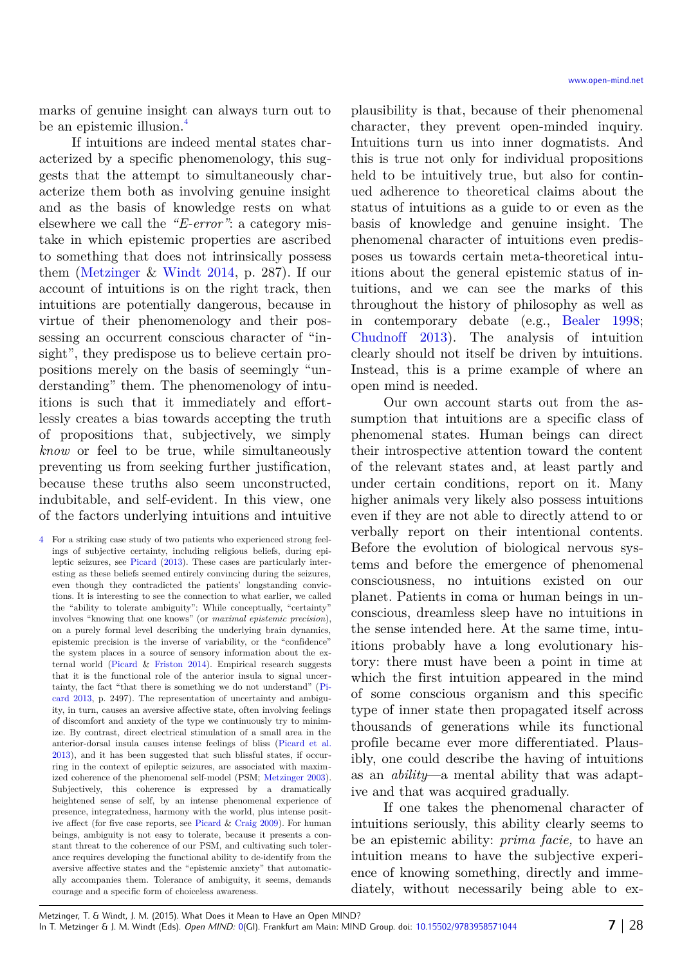marks of genuine insight can always turn out to be an epistemic illusion.<sup>[4](#page-6-0)</sup>

If intuitions are indeed mental states characterized by a specific phenomenology, this suggests that the attempt to simultaneously characterize them both as involving genuine insight and as the basis of knowledge rests on what elsewhere we call the *"E-error"*: a category mistake in which epistemic properties are ascribed to something that does not intrinsically possess them [\(Metzinger](#page-27-5) & [Windt](#page-27-5) [2014,](#page-27-5) p. 287). If our account of intuitions is on the right track, then intuitions are potentially dangerous, because in virtue of their phenomenology and their possessing an occurrent conscious character of "insight", they predispose us to believe certain propositions merely on the basis of seemingly "understanding" them. The phenomenology of intuitions is such that it immediately and effortlessly creates a bias towards accepting the truth of propositions that, subjectively, we simply *know* or feel to be true, while simultaneously preventing us from seeking further justification, because these truths also seem unconstructed, indubitable, and self-evident. In this view, one of the factors underlying intuitions and intuitive

<span id="page-6-0"></span>4 For a striking case study of two patients who experienced strong feelings of subjective certainty, including religious beliefs, during epileptic seizures, see [Picard \(2013\)](#page-27-11). These cases are particularly interesting as these beliefs seemed entirely convincing during the seizures, even though they contradicted the patients' longstanding convictions. It is interesting to see the connection to what earlier, we called the "ability to tolerate ambiguity": While conceptually, "certainty" involves "knowing that one knows" (or *maximal epistemic precision*), on a purely formal level describing the underlying brain dynamics, epistemic precision is the inverse of variability, or the "confidence" the system places in a source of sensory information about the external world [\(Picard](#page-27-12) & [Friston](#page-27-12) [2014\)](#page-27-12). Empirical research suggests that it is the functional role of the anterior insula to signal uncertainty, the fact "that there is something we do not understand" [\(Pi](#page-27-11)[card](#page-27-11) [2013,](#page-27-11) p. 2497). The representation of uncertainty and ambiguity, in turn, causes an aversive affective state, often involving feelings of discomfort and anxiety of the type we continuously try to minimize. By contrast, direct electrical stimulation of a small area in the anterior-dorsal insula causes intense feelings of bliss [\(Picard et al.](#page-27-10) [2013\)](#page-27-10), and it has been suggested that such blissful states, if occurring in the context of epileptic seizures, are associated with maximized coherence of the phenomenal self-model (PSM; [Metzinger](#page-26-4) [2003\)](#page-26-4). Subjectively, this coherence is expressed by a dramatically heightened sense of self, by an intense phenomenal experience of presence, integratedness, harmony with the world, plus intense positive affect (for five case reports, see [Picard](#page-27-9) & [Craig](#page-27-9) [2009\)](#page-27-9). For human beings, ambiguity is not easy to tolerate, because it presents a constant threat to the coherence of our PSM, and cultivating such tolerance requires developing the functional ability to de-identify from the aversive affective states and the "epistemic anxiety" that automatically accompanies them. Tolerance of ambiguity, it seems, demands courage and a specific form of choiceless awareness.

plausibility is that, because of their phenomenal character, they prevent open-minded inquiry. Intuitions turn us into inner dogmatists. And this is true not only for individual propositions held to be intuitively true, but also for continued adherence to theoretical claims about the status of intuitions as a guide to or even as the basis of knowledge and genuine insight. The phenomenal character of intuitions even predisposes us towards certain meta-theoretical intuitions about the general epistemic status of intuitions, and we can see the marks of this throughout the history of philosophy as well as in contemporary debate (e.g., [Bealer](#page-25-5) [1998;](#page-25-5) [Chudnoff](#page-25-4) [2013\)](#page-25-4). The analysis of intuition clearly should not itself be driven by intuitions. Instead, this is a prime example of where an open mind is needed.

Our own account starts out from the assumption that intuitions are a specific class of phenomenal states. Human beings can direct their introspective attention toward the content of the relevant states and, at least partly and under certain conditions, report on it. Many higher animals very likely also possess intuitions even if they are not able to directly attend to or verbally report on their intentional contents. Before the evolution of biological nervous systems and before the emergence of phenomenal consciousness, no intuitions existed on our planet. Patients in coma or human beings in unconscious, dreamless sleep have no intuitions in the sense intended here. At the same time, intuitions probably have a long evolutionary history: there must have been a point in time at which the first intuition appeared in the mind of some conscious organism and this specific type of inner state then propagated itself across thousands of generations while its functional profile became ever more differentiated. Plausibly, one could describe the having of intuitions as an *ability*—a mental ability that was adaptive and that was acquired gradually.

If one takes the phenomenal character of intuitions seriously, this ability clearly seems to be an epistemic ability: *prima facie,* to have an intuition means to have the subjective experience of knowing something, directly and immediately, without necessarily being able to ex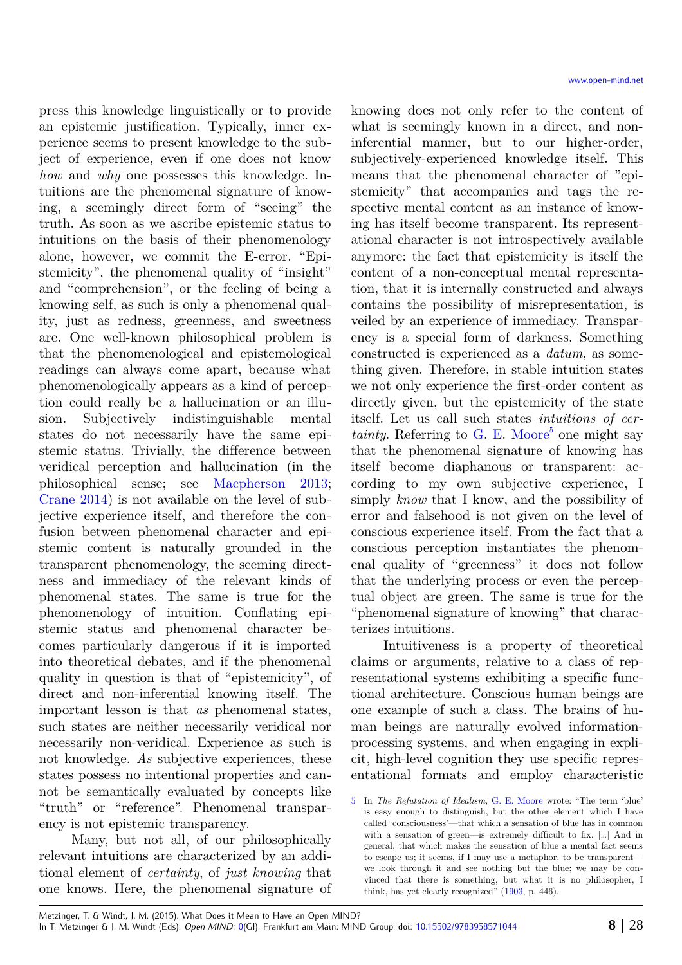press this knowledge linguistically or to provide an epistemic justification. Typically, inner experience seems to present knowledge to the subject of experience, even if one does not know *how* and *why* one possesses this knowledge. Intuitions are the phenomenal signature of knowing, a seemingly direct form of "seeing" the truth. As soon as we ascribe epistemic status to intuitions on the basis of their phenomenology alone, however, we commit the E-error. "Epistemicity", the phenomenal quality of "insight" and "comprehension", or the feeling of being a knowing self, as such is only a phenomenal quality, just as redness, greenness, and sweetness are. One well-known philosophical problem is that the phenomenological and epistemological readings can always come apart, because what phenomenologically appears as a kind of perception could really be a hallucination or an illusion. Subjectively indistinguishable mental states do not necessarily have the same epistemic status. Trivially, the difference between veridical perception and hallucination (in the philosophical sense; see [Macpherson](#page-26-5) [2013;](#page-26-5) [Crane](#page-25-3) [2014\)](#page-25-3) is not available on the level of subjective experience itself, and therefore the confusion between phenomenal character and epistemic content is naturally grounded in the transparent phenomenology, the seeming directness and immediacy of the relevant kinds of phenomenal states. The same is true for the phenomenology of intuition. Conflating epistemic status and phenomenal character becomes particularly dangerous if it is imported into theoretical debates, and if the phenomenal quality in question is that of "epistemicity", of direct and non-inferential knowing itself. The important lesson is that *as* phenomenal states, such states are neither necessarily veridical nor necessarily non-veridical. Experience as such is not knowledge. *As* subjective experiences, these states possess no intentional properties and cannot be semantically evaluated by concepts like "truth" or "reference". Phenomenal transparency is not epistemic transparency.

Many, but not all, of our philosophically relevant intuitions are characterized by an additional element of *certainty*, of *just knowing* that one knows. Here, the phenomenal signature of knowing does not only refer to the content of what is seemingly known in a direct, and noninferential manner, but to our higher-order, subjectively-experienced knowledge itself. This means that the phenomenal character of "epistemicity" that accompanies and tags the respective mental content as an instance of knowing has itself become transparent. Its representational character is not introspectively available anymore: the fact that epistemicity is itself the content of a non-conceptual mental representation, that it is internally constructed and always contains the possibility of misrepresentation, is veiled by an experience of immediacy. Transparency is a special form of darkness. Something constructed is experienced as a *datum*, as something given. Therefore, in stable intuition states we not only experience the first-order content as directly given, but the epistemicity of the state itself. Let us call such states *intuitions of cer* $tainty$ . Referring to [G. E. Moore](#page-27-13)<sup>[5](#page-7-0)</sup> one might say that the phenomenal signature of knowing has itself become diaphanous or transparent: according to my own subjective experience, I simply *know* that I know, and the possibility of error and falsehood is not given on the level of conscious experience itself. From the fact that a conscious perception instantiates the phenomenal quality of "greenness" it does not follow that the underlying process or even the perceptual object are green. The same is true for the "phenomenal signature of knowing" that characterizes intuitions.

Intuitiveness is a property of theoretical claims or arguments, relative to a class of representational systems exhibiting a specific functional architecture. Conscious human beings are one example of such a class. The brains of human beings are naturally evolved informationprocessing systems, and when engaging in explicit, high-level cognition they use specific representational formats and employ characteristic

<span id="page-7-0"></span><sup>5</sup> In *The Refutation of Idealism*, [G. E.](#page-27-13) [Moore](#page-27-13) wrote: "The term 'blue' is easy enough to distinguish, but the other element which I have called 'consciousness'—that which a sensation of blue has in common with a sensation of green—is extremely difficult to fix. […] And in general, that which makes the sensation of blue a mental fact seems to escape us; it seems, if I may use a metaphor, to be transparent we look through it and see nothing but the blue; we may be convinced that there is something, but what it is no philosopher, I think, has yet clearly recognized" [\(1903,](#page-27-13) p. 446).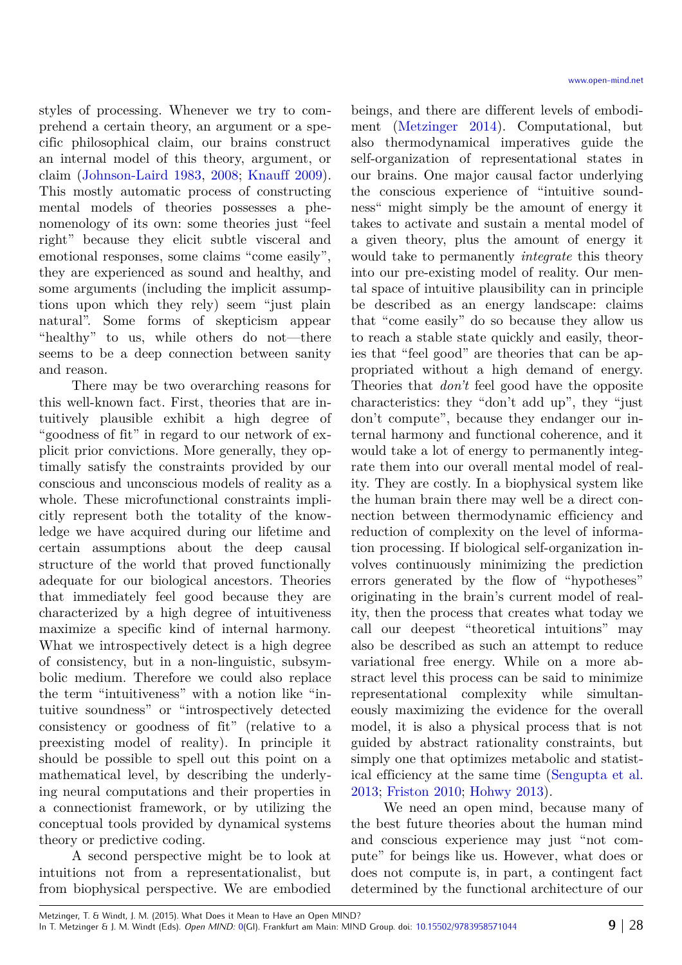styles of processing. Whenever we try to comprehend a certain theory, an argument or a specific philosophical claim, our brains construct an internal model of this theory, argument, or claim [\(Johnson-Laird](#page-26-8) [1983,](#page-26-8) [2008;](#page-26-7) [Knauff](#page-26-6) [2009\)](#page-26-6). This mostly automatic process of constructing mental models of theories possesses a phenomenology of its own: some theories just "feel right" because they elicit subtle visceral and emotional responses, some claims "come easily", they are experienced as sound and healthy, and some arguments (including the implicit assumptions upon which they rely) seem "just plain natural". Some forms of skepticism appear "healthy" to us, while others do not—there seems to be a deep connection between sanity and reason.

There may be two overarching reasons for this well-known fact. First, theories that are intuitively plausible exhibit a high degree of "goodness of fit" in regard to our network of explicit prior convictions. More generally, they optimally satisfy the constraints provided by our conscious and unconscious models of reality as a whole. These microfunctional constraints implicitly represent both the totality of the knowledge we have acquired during our lifetime and certain assumptions about the deep causal structure of the world that proved functionally adequate for our biological ancestors. Theories that immediately feel good because they are characterized by a high degree of intuitiveness maximize a specific kind of internal harmony. What we introspectively detect is a high degree of consistency, but in a non-linguistic, subsymbolic medium. Therefore we could also replace the term "intuitiveness" with a notion like "intuitive soundness" or "introspectively detected consistency or goodness of fit" (relative to a preexisting model of reality). In principle it should be possible to spell out this point on a mathematical level, by describing the underlying neural computations and their properties in a connectionist framework, or by utilizing the conceptual tools provided by dynamical systems theory or predictive coding.

A second perspective might be to look at intuitions not from a representationalist, but from biophysical perspective. We are embodied

beings, and there are different levels of embodiment [\(Metzinger](#page-27-15) [2014\)](#page-27-15). Computational, but also thermodynamical imperatives guide the self-organization of representational states in our brains. One major causal factor underlying the conscious experience of "intuitive soundness" might simply be the amount of energy it takes to activate and sustain a mental model of a given theory, plus the amount of energy it would take to permanently *integrate* this theory into our pre-existing model of reality. Our mental space of intuitive plausibility can in principle be described as an energy landscape: claims that "come easily" do so because they allow us to reach a stable state quickly and easily, theories that "feel good" are theories that can be appropriated without a high demand of energy. Theories that *don't* feel good have the opposite characteristics: they "don't add up", they "just don't compute", because they endanger our internal harmony and functional coherence, and it would take a lot of energy to permanently integrate them into our overall mental model of reality. They are costly. In a biophysical system like the human brain there may well be a direct connection between thermodynamic efficiency and reduction of complexity on the level of information processing. If biological self-organization involves continuously minimizing the prediction errors generated by the flow of "hypotheses" originating in the brain's current model of reality, then the process that creates what today we call our deepest "theoretical intuitions" may also be described as such an attempt to reduce variational free energy. While on a more abstract level this process can be said to minimize representational complexity while simultaneously maximizing the evidence for the overall model, it is also a physical process that is not guided by abstract rationality constraints, but simply one that optimizes metabolic and statistical efficiency at the same time [\(Sengupta et al.](#page-27-14) [2013;](#page-27-14) [Friston](#page-25-6) [2010;](#page-25-6) [Hohwy](#page-26-9) [2013\)](#page-26-9).

We need an open mind, because many of the best future theories about the human mind and conscious experience may just "not compute" for beings like us. However, what does or does not compute is, in part, a contingent fact determined by the functional architecture of our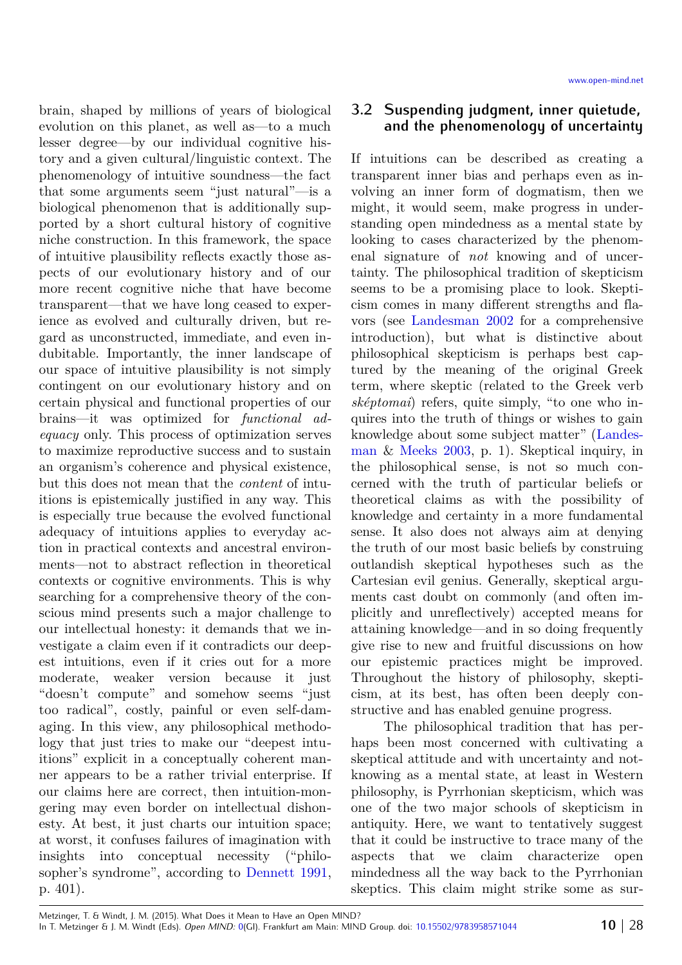brain, shaped by millions of years of biological evolution on this planet, as well as—to a much lesser degree—by our individual cognitive history and a given cultural/linguistic context. The phenomenology of intuitive soundness—the fact that some arguments seem "just natural"—is a biological phenomenon that is additionally supported by a short cultural history of cognitive niche construction. In this framework, the space of intuitive plausibility reflects exactly those aspects of our evolutionary history and of our more recent cognitive niche that have become transparent—that we have long ceased to experience as evolved and culturally driven, but regard as unconstructed, immediate, and even indubitable. Importantly, the inner landscape of our space of intuitive plausibility is not simply contingent on our evolutionary history and on certain physical and functional properties of our brains—it was optimized for *functional adequacy* only. This process of optimization serves to maximize reproductive success and to sustain an organism's coherence and physical existence, but this does not mean that the *content* of intuitions is epistemically justified in any way. This is especially true because the evolved functional adequacy of intuitions applies to everyday action in practical contexts and ancestral environments—not to abstract reflection in theoretical contexts or cognitive environments. This is why searching for a comprehensive theory of the conscious mind presents such a major challenge to our intellectual honesty: it demands that we investigate a claim even if it contradicts our deepest intuitions, even if it cries out for a more moderate, weaker version because it just "doesn't compute" and somehow seems "just too radical", costly, painful or even self-damaging. In this view, any philosophical methodology that just tries to make our "deepest intuitions" explicit in a conceptually coherent manner appears to be a rather trivial enterprise. If our claims here are correct, then intuition-mongering may even border on intellectual dishonesty. At best, it just charts our intuition space; at worst, it confuses failures of imagination with insights into conceptual necessity ("philosopher's syndrome", according to [Dennett](#page-25-7) [1991,](#page-25-7) p. 401).

#### **3.2 Suspending judgment, inner quietude, and the phenomenology of uncertainty**

If intuitions can be described as creating a transparent inner bias and perhaps even as involving an inner form of dogmatism, then we might, it would seem, make progress in understanding open mindedness as a mental state by looking to cases characterized by the phenomenal signature of *not* knowing and of uncertainty. The philosophical tradition of skepticism seems to be a promising place to look. Skepticism comes in many different strengths and flavors (see [Landesman](#page-26-11) [2002](#page-26-11) for a comprehensive introduction), but what is distinctive about philosophical skepticism is perhaps best captured by the meaning of the original Greek term, where skeptic (related to the Greek verb *sképtomai*) refers, quite simply, "to one who inquires into the truth of things or wishes to gain knowledge about some subject matter" [\(Landes](#page-26-10)[man](#page-26-10) & [Meeks](#page-26-10) [2003,](#page-26-10) p. 1). Skeptical inquiry, in the philosophical sense, is not so much concerned with the truth of particular beliefs or theoretical claims as with the possibility of knowledge and certainty in a more fundamental sense. It also does not always aim at denying the truth of our most basic beliefs by construing outlandish skeptical hypotheses such as the Cartesian evil genius. Generally, skeptical arguments cast doubt on commonly (and often implicitly and unreflectively) accepted means for attaining knowledge—and in so doing frequently give rise to new and fruitful discussions on how our epistemic practices might be improved. Throughout the history of philosophy, skepticism, at its best, has often been deeply constructive and has enabled genuine progress.

The philosophical tradition that has perhaps been most concerned with cultivating a skeptical attitude and with uncertainty and notknowing as a mental state, at least in Western philosophy, is Pyrrhonian skepticism, which was one of the two major schools of skepticism in antiquity. Here, we want to tentatively suggest that it could be instructive to trace many of the aspects that we claim characterize open mindedness all the way back to the Pyrrhonian skeptics. This claim might strike some as sur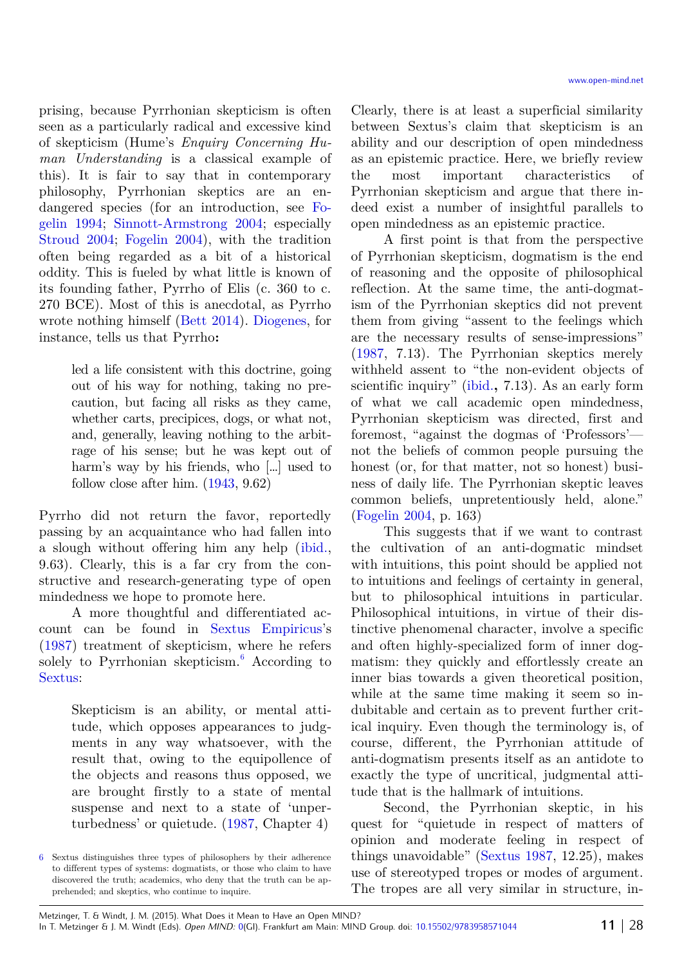prising, because Pyrrhonian skepticism is often seen as a particularly radical and excessive kind of skepticism (Hume's *Enquiry Concerning Human Understanding* is a classical example of this). It is fair to say that in contemporary philosophy, Pyrrhonian skeptics are an endangered species (for an introduction, see [Fo](#page-25-11)[gelin](#page-25-11) [1994;](#page-25-11) [Sinnott-Armstrong](#page-27-17) [2004;](#page-27-17) especially [Stroud](#page-27-16) [2004;](#page-27-16) [Fogelin](#page-25-10) [2004\)](#page-25-10), with the tradition often being regarded as a bit of a historical oddity. This is fueled by what little is known of its founding father, Pyrrho of Elis (c. 360 to c. 270 BCE). Most of this is anecdotal, as Pyrrho wrote nothing himself [\(Bett](#page-25-9) [2014\)](#page-25-9). [Diogenes,](#page-25-8) for instance, tells us that Pyrrho**:**

> led a life consistent with this doctrine, going out of his way for nothing, taking no precaution, but facing all risks as they came, whether carts, precipices, dogs, or what not, and, generally, leaving nothing to the arbitrage of his sense; but he was kept out of harm's way by his friends, who [...] used to follow close after him. [\(1943,](#page-25-8) 9.62)

Pyrrho did not return the favor, reportedly passing by an acquaintance who had fallen into a slough without offering him any help ([ibid.,](#page-25-8) 9.63). Clearly, this is a far cry from the constructive and research-generating type of open mindedness we hope to promote here.

A more thoughtful and differentiated account can be found in [Sextus](#page-27-18) [Empiricus'](#page-27-18)s [\(1987\)](#page-27-18) treatment of skepticism, where he refers solely to Pyrrhonian skepticism.<sup>[6](#page-10-0)</sup> According to [Sextus:](#page-27-18)

> Skepticism is an ability, or mental attitude, which opposes appearances to judgments in any way whatsoever, with the result that, owing to the equipollence of the objects and reasons thus opposed, we are brought firstly to a state of mental suspense and next to a state of 'unperturbedness' or quietude. [\(1987,](#page-27-18) Chapter 4)

Clearly, there is at least a superficial similarity between Sextus's claim that skepticism is an ability and our description of open mindedness as an epistemic practice. Here, we briefly review the most important characteristics of Pyrrhonian skepticism and argue that there indeed exist a number of insightful parallels to open mindedness as an epistemic practice.

A first point is that from the perspective of Pyrrhonian skepticism, dogmatism is the end of reasoning and the opposite of philosophical reflection. At the same time, the anti-dogmatism of the Pyrrhonian skeptics did not prevent them from giving "assent to the feelings which are the necessary results of sense-impressions" [\(1987,](#page-27-18) 7.13). The Pyrrhonian skeptics merely withheld assent to "the non-evident objects of scientific inquiry" [\(ibid.](#page-27-18)**,** 7.13). As an early form of what we call academic open mindedness, Pyrrhonian skepticism was directed, first and foremost, "against the dogmas of 'Professors' not the beliefs of common people pursuing the honest (or, for that matter, not so honest) business of daily life. The Pyrrhonian skeptic leaves common beliefs, unpretentiously held, alone." [\(Fogelin](#page-25-10) [2004,](#page-25-10) p. 163)

This suggests that if we want to contrast the cultivation of an anti-dogmatic mindset with intuitions, this point should be applied not to intuitions and feelings of certainty in general, but to philosophical intuitions in particular. Philosophical intuitions, in virtue of their distinctive phenomenal character, involve a specific and often highly-specialized form of inner dogmatism: they quickly and effortlessly create an inner bias towards a given theoretical position, while at the same time making it seem so indubitable and certain as to prevent further critical inquiry. Even though the terminology is, of course, different, the Pyrrhonian attitude of anti-dogmatism presents itself as an antidote to exactly the type of uncritical, judgmental attitude that is the hallmark of intuitions.

Second, the Pyrrhonian skeptic, in his quest for "quietude in respect of matters of opinion and moderate feeling in respect of things unavoidable" [\(Sextus](#page-27-18) [1987,](#page-27-18) 12.25), makes use of stereotyped tropes or modes of argument. The tropes are all very similar in structure, in-

<span id="page-10-0"></span><sup>6</sup> Sextus distinguishes three types of philosophers by their adherence to different types of systems: dogmatists, or those who claim to have discovered the truth; academics, who deny that the truth can be apprehended; and skeptics, who continue to inquire.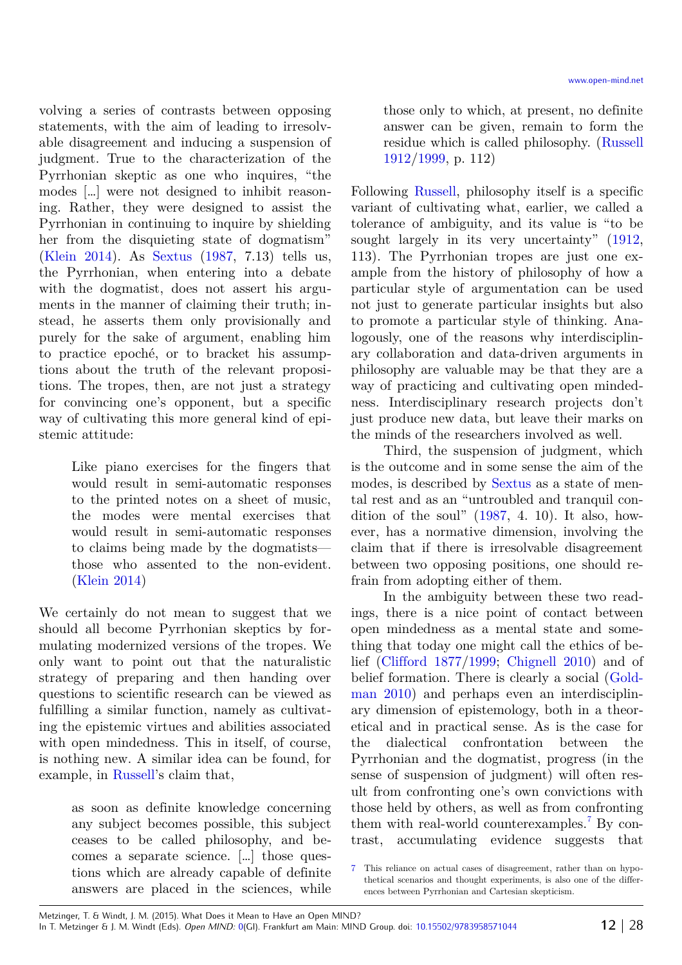volving a series of contrasts between opposing statements, with the aim of leading to irresolvable disagreement and inducing a suspension of judgment. True to the characterization of the Pyrrhonian skeptic as one who inquires, "the modes […] were not designed to inhibit reasoning. Rather, they were designed to assist the Pyrrhonian in continuing to inquire by shielding her from the disquieting state of dogmatism" [\(Klein](#page-26-12) [2014\)](#page-26-12). As [Sextus \(1987,](#page-27-18) 7.13) tells us, the Pyrrhonian, when entering into a debate with the dogmatist, does not assert his arguments in the manner of claiming their truth; instead, he asserts them only provisionally and purely for the sake of argument, enabling him to practice epoché, or to bracket his assumptions about the truth of the relevant propositions. The tropes, then, are not just a strategy for convincing one's opponent, but a specific way of cultivating this more general kind of epistemic attitude:

> Like piano exercises for the fingers that would result in semi-automatic responses to the printed notes on a sheet of music, the modes were mental exercises that would result in semi-automatic responses to claims being made by the dogmatists those who assented to the non-evident. [\(Klein](#page-26-12) [2014\)](#page-26-12)

We certainly do not mean to suggest that we should all become Pyrrhonian skeptics by formulating modernized versions of the tropes. We only want to point out that the naturalistic strategy of preparing and then handing over questions to scientific research can be viewed as fulfilling a similar function, namely as cultivating the epistemic virtues and abilities associated with open mindedness. This in itself, of course, is nothing new. A similar idea can be found, for example, in [Russell'](#page-27-19)s claim that,

> as soon as definite knowledge concerning any subject becomes possible, this subject ceases to be called philosophy, and becomes a separate science. […] those questions which are already capable of definite answers are placed in the sciences, while

those only to which, at present, no definite answer can be given, remain to form the residue which is called philosophy. [\(Russell](#page-27-19) [1912/1999,](#page-27-19) p. 112)

Following [Russell,](#page-27-19) philosophy itself is a specific variant of cultivating what, earlier, we called a tolerance of ambiguity, and its value is "to be sought largely in its very uncertainty" [\(1912,](#page-27-19) 113). The Pyrrhonian tropes are just one example from the history of philosophy of how a particular style of argumentation can be used not just to generate particular insights but also to promote a particular style of thinking. Analogously, one of the reasons why interdisciplinary collaboration and data-driven arguments in philosophy are valuable may be that they are a way of practicing and cultivating open mindedness. Interdisciplinary research projects don't just produce new data, but leave their marks on the minds of the researchers involved as well.

Third, the suspension of judgment, which is the outcome and in some sense the aim of the modes, is described by [Sextus](#page-27-18) as a state of mental rest and as an "untroubled and tranquil condition of the soul"  $(1987, 4. 10)$  $(1987, 4. 10)$ . It also, however, has a normative dimension, involving the claim that if there is irresolvable disagreement between two opposing positions, one should refrain from adopting either of them.

In the ambiguity between these two readings, there is a nice point of contact between open mindedness as a mental state and something that today one might call the ethics of belief [\(Clifford](#page-25-13) [1877/1999;](#page-25-13) [Chignell](#page-25-12) [2010\)](#page-25-12) and of belief formation. There is clearly a social [\(Gold](#page-26-13)[man](#page-26-13) [2010\)](#page-26-13) and perhaps even an interdisciplinary dimension of epistemology, both in a theoretical and in practical sense. As is the case for the dialectical confrontation between the Pyrrhonian and the dogmatist, progress (in the sense of suspension of judgment) will often result from confronting one's own convictions with those held by others, as well as from confronting them with real-world counterexamples.<sup>[7](#page-11-0)</sup> By contrast, accumulating evidence suggests that

<span id="page-11-0"></span><sup>7</sup> This reliance on actual cases of disagreement, rather than on hypothetical scenarios and thought experiments, is also one of the differences between Pyrrhonian and Cartesian skepticism.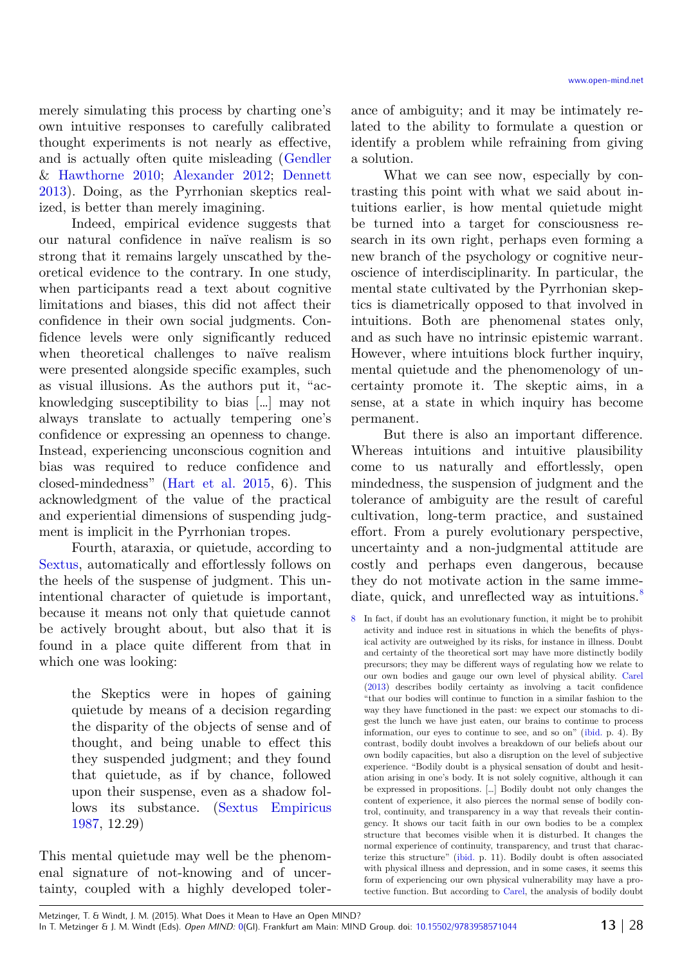merely simulating this process by charting one's own intuitive responses to carefully calibrated thought experiments is not nearly as effective, and is actually often quite misleading [\(Gendler](#page-26-14) & [Hawthorne](#page-26-14) [2010;](#page-26-14) [Alexander](#page-25-1) [2012;](#page-25-1) [Dennett](#page-25-15) [2013\)](#page-25-15). Doing, as the Pyrrhonian skeptics realized, is better than merely imagining.

Indeed, empirical evidence suggests that our natural confidence in naïve realism is so strong that it remains largely unscathed by theoretical evidence to the contrary. In one study, when participants read a text about cognitive limitations and biases, this did not affect their confidence in their own social judgments. Confidence levels were only significantly reduced when theoretical challenges to naïve realism were presented alongside specific examples, such as visual illusions. As the authors put it, "acknowledging susceptibility to bias […] may not always translate to actually tempering one's confidence or expressing an openness to change. Instead, experiencing unconscious cognition and bias was required to reduce confidence and closed-mindedness" [\(Hart et al.](#page-26-15) [2015,](#page-26-15) 6). This acknowledgment of the value of the practical and experiential dimensions of suspending judgment is implicit in the Pyrrhonian tropes.

Fourth, ataraxia, or quietude, according to [Sextus,](#page-27-18) automatically and effortlessly follows on the heels of the suspense of judgment. This unintentional character of quietude is important, because it means not only that quietude cannot be actively brought about, but also that it is found in a place quite different from that in which one was looking:

> the Skeptics were in hopes of gaining quietude by means of a decision regarding the disparity of the objects of sense and of thought, and being unable to effect this they suspended judgment; and they found that quietude, as if by chance, followed upon their suspense, even as a shadow follows its substance. [\(Sextus](#page-27-18) [Empiricus](#page-27-18) [1987,](#page-27-18) 12.29)

This mental quietude may well be the phenomenal signature of not-knowing and of uncertainty, coupled with a highly developed tolerance of ambiguity; and it may be intimately related to the ability to formulate a question or identify a problem while refraining from giving a solution.

What we can see now, especially by contrasting this point with what we said about intuitions earlier, is how mental quietude might be turned into a target for consciousness research in its own right, perhaps even forming a new branch of the psychology or cognitive neuroscience of interdisciplinarity. In particular, the mental state cultivated by the Pyrrhonian skeptics is diametrically opposed to that involved in intuitions. Both are phenomenal states only, and as such have no intrinsic epistemic warrant. However, where intuitions block further inquiry, mental quietude and the phenomenology of uncertainty promote it. The skeptic aims, in a sense, at a state in which inquiry has become permanent.

But there is also an important difference. Whereas intuitions and intuitive plausibility come to us naturally and effortlessly, open mindedness, the suspension of judgment and the tolerance of ambiguity are the result of careful cultivation, long-term practice, and sustained effort. From a purely evolutionary perspective, uncertainty and a non-judgmental attitude are costly and perhaps even dangerous, because they do not motivate action in the same immediate, quick, and unreflected way as intuitions. $\delta$ 

<span id="page-12-0"></span><sup>8</sup> In fact, if doubt has an evolutionary function, it might be to prohibit activity and induce rest in situations in which the benefits of physical activity are outweighed by its risks, for instance in illness. Doubt and certainty of the theoretical sort may have more distinctly bodily precursors; they may be different ways of regulating how we relate to our own bodies and gauge our own level of physical ability. [Carel](#page-25-14) [\(2013\)](#page-25-14) describes bodily certainty as involving a tacit confidence "that our bodies will continue to function in a similar fashion to the way they have functioned in the past: we expect our stomachs to digest the lunch we have just eaten, our brains to continue to process information, our eyes to continue to see, and so on" [\(ibid.](#page-25-14) p. 4). By contrast, bodily doubt involves a breakdown of our beliefs about our own bodily capacities, but also a disruption on the level of subjective experience. "Bodily doubt is a physical sensation of doubt and hesitation arising in one's body. It is not solely cognitive, although it can be expressed in propositions. […] Bodily doubt not only changes the content of experience, it also pierces the normal sense of bodily control, continuity, and transparency in a way that reveals their contingency. It shows our tacit faith in our own bodies to be a complex structure that becomes visible when it is disturbed. It changes the normal experience of continuity, transparency, and trust that characterize this structure" [\(ibid.](#page-25-14) p. 11). Bodily doubt is often associated with physical illness and depression, and in some cases, it seems this form of experiencing our own physical vulnerability may have a protective function. But according to [Carel,](#page-25-14) the analysis of bodily doubt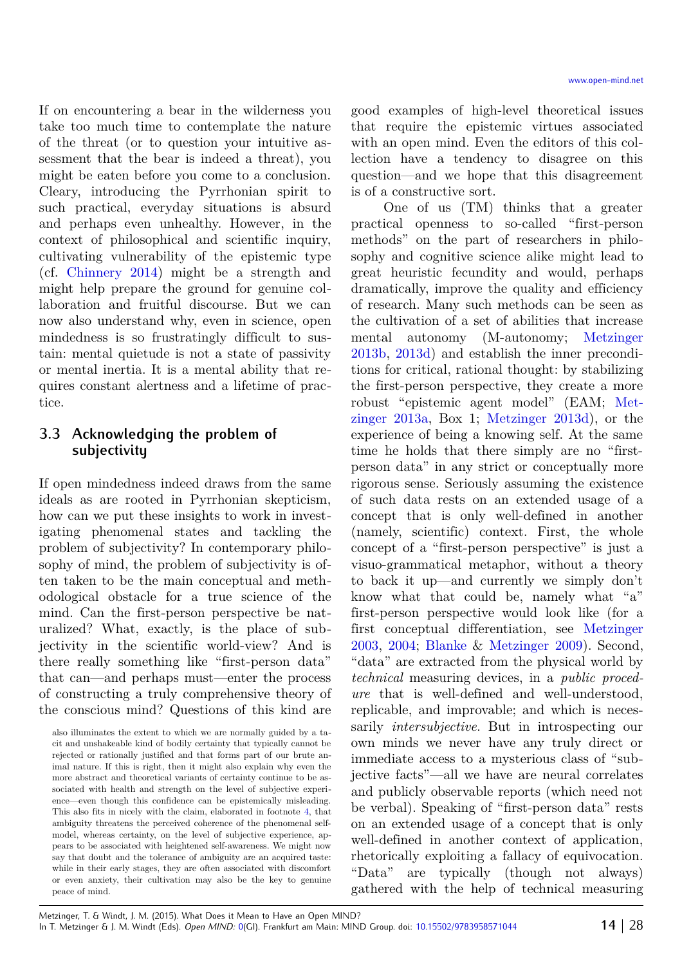If on encountering a bear in the wilderness you take too much time to contemplate the nature of the threat (or to question your intuitive assessment that the bear is indeed a threat), you might be eaten before you come to a conclusion. Cleary, introducing the Pyrrhonian spirit to such practical, everyday situations is absurd and perhaps even unhealthy. However, in the context of philosophical and scientific inquiry, cultivating vulnerability of the epistemic type (cf. [Chinnery](#page-25-16) [2014\)](#page-25-16) might be a strength and might help prepare the ground for genuine collaboration and fruitful discourse. But we can now also understand why, even in science, open mindedness is so frustratingly difficult to sustain: mental quietude is not a state of passivity or mental inertia. It is a mental ability that requires constant alertness and a lifetime of practice.

## **3.3 Acknowledging the problem of subjectivity**

If open mindedness indeed draws from the same ideals as are rooted in Pyrrhonian skepticism, how can we put these insights to work in investigating phenomenal states and tackling the problem of subjectivity? In contemporary philosophy of mind, the problem of subjectivity is often taken to be the main conceptual and methodological obstacle for a true science of the mind. Can the first-person perspective be naturalized? What, exactly, is the place of subjectivity in the scientific world-view? And is there really something like "first-person data" that can—and perhaps must—enter the process of constructing a truly comprehensive theory of the conscious mind? Questions of this kind are good examples of high-level theoretical issues that require the epistemic virtues associated with an open mind. Even the editors of this collection have a tendency to disagree on this question—and we hope that this disagreement is of a constructive sort.

One of us (TM) thinks that a greater practical openness to so-called "first-person methods" on the part of researchers in philosophy and cognitive science alike might lead to great heuristic fecundity and would, perhaps dramatically, improve the quality and efficiency of research. Many such methods can be seen as the cultivation of a set of abilities that increase mental autonomy (M-autonomy; [Metzinger](#page-26-17) [2013b,](#page-26-17) [2013d\)](#page-27-20) and establish the inner preconditions for critical, rational thought: by stabilizing the first-person perspective, they create a more robust "epistemic agent model" (EAM; [Met](#page-26-3)[zinger](#page-26-3) [2013a,](#page-26-3) Box 1; [Metzinger](#page-27-20) [2013d\)](#page-27-20), or the experience of being a knowing self. At the same time he holds that there simply are no "firstperson data" in any strict or conceptually more rigorous sense. Seriously assuming the existence of such data rests on an extended usage of a concept that is only well-defined in another (namely, scientific) context. First, the whole concept of a "first-person perspective" is just a visuo-grammatical metaphor, without a theory to back it up—and currently we simply don't know what that could be, namely what "a" first-person perspective would look like (for a first conceptual differentiation, see [Metzinger](#page-26-4) [2003,](#page-26-4) [2004;](#page-26-16) [Blanke](#page-25-17) & [Metzinger](#page-25-17) [2009\)](#page-25-17). Second, "data" are extracted from the physical world by *technical* measuring devices, in a *public procedure* that is well-defined and well-understood, replicable, and improvable; and which is necessarily *intersubjective*. But in introspecting our own minds we never have any truly direct or immediate access to a mysterious class of "subjective facts"—all we have are neural correlates and publicly observable reports (which need not be verbal). Speaking of "first-person data" rests on an extended usage of a concept that is only well-defined in another context of application, rhetorically exploiting a fallacy of equivocation. "Data" are typically (though not always) gathered with the help of technical measuring

also illuminates the extent to which we are normally guided by a tacit and unshakeable kind of bodily certainty that typically cannot be rejected or rationally justified and that forms part of our brute animal nature. If this is right, then it might also explain why even the more abstract and theoretical variants of certainty continue to be associated with health and strength on the level of subjective experience—even though this confidence can be epistemically misleading. This also fits in nicely with the claim, elaborated in footnote [4,](#page-6-0) that ambiguity threatens the perceived coherence of the phenomenal selfmodel, whereas certainty, on the level of subjective experience, appears to be associated with heightened self-awareness. We might now say that doubt and the tolerance of ambiguity are an acquired taste: while in their early stages, they are often associated with discomfort or even anxiety, their cultivation may also be the key to genuine peace of mind.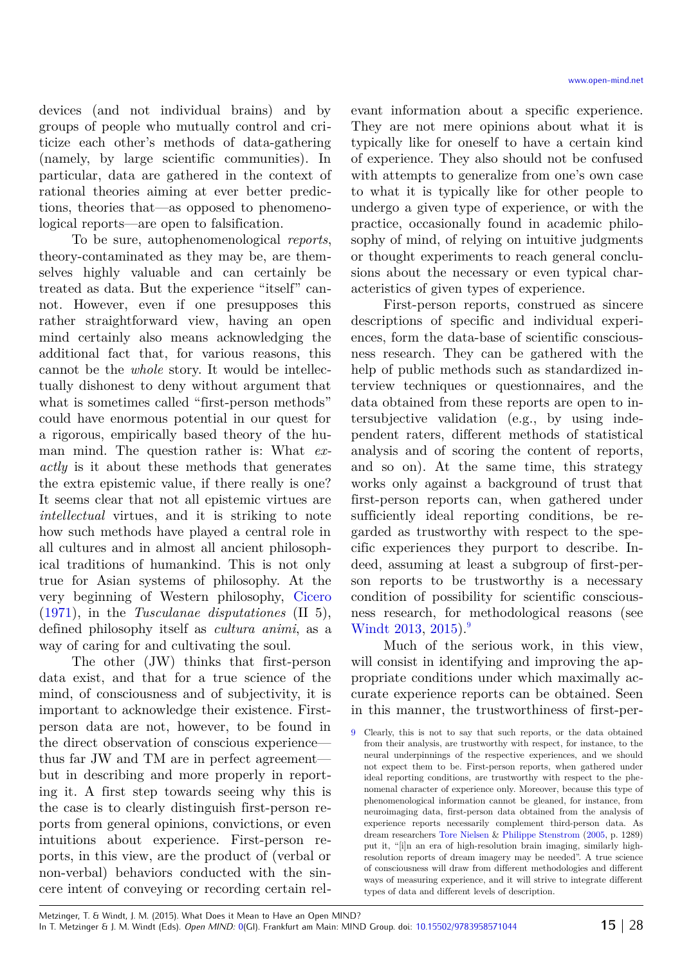devices (and not individual brains) and by groups of people who mutually control and criticize each other's methods of data-gathering (namely, by large scientific communities). In particular, data are gathered in the context of rational theories aiming at ever better predictions, theories that—as opposed to phenomenological reports—are open to falsification.

To be sure, autophenomenological *reports*, theory-contaminated as they may be, are themselves highly valuable and can certainly be treated as data. But the experience "itself" cannot. However, even if one presupposes this rather straightforward view, having an open mind certainly also means acknowledging the additional fact that, for various reasons, this cannot be the *whole* story. It would be intellectually dishonest to deny without argument that what is sometimes called "first-person methods" could have enormous potential in our quest for a rigorous, empirically based theory of the human mind. The question rather is: What *exactly* is it about these methods that generates the extra epistemic value, if there really is one? It seems clear that not all epistemic virtues are *intellectual* virtues, and it is striking to note how such methods have played a central role in all cultures and in almost all ancient philosophical traditions of humankind. This is not only true for Asian systems of philosophy. At the very beginning of Western philosophy, [Cicero](#page-25-18) [\(1971\)](#page-25-18), in the *Tusculanae disputationes* (II 5), defined philosophy itself as *cultura animi*, as a way of caring for and cultivating the soul.

The other (JW) thinks that first-person data exist, and that for a true science of the mind, of consciousness and of subjectivity, it is important to acknowledge their existence. Firstperson data are not, however, to be found in the direct observation of conscious experience thus far JW and TM are in perfect agreement but in describing and more properly in reporting it. A first step towards seeing why this is the case is to clearly distinguish first-person reports from general opinions, convictions, or even intuitions about experience. First-person reports, in this view, are the product of (verbal or non-verbal) behaviors conducted with the sincere intent of conveying or recording certain relevant information about a specific experience. They are not mere opinions about what it is typically like for oneself to have a certain kind of experience. They also should not be confused with attempts to generalize from one's own case to what it is typically like for other people to undergo a given type of experience, or with the practice, occasionally found in academic philosophy of mind, of relying on intuitive judgments or thought experiments to reach general conclusions about the necessary or even typical characteristics of given types of experience.

First-person reports, construed as sincere descriptions of specific and individual experiences, form the data-base of scientific consciousness research. They can be gathered with the help of public methods such as standardized interview techniques or questionnaires, and the data obtained from these reports are open to intersubjective validation (e.g., by using independent raters, different methods of statistical analysis and of scoring the content of reports, and so on). At the same time, this strategy works only against a background of trust that first-person reports can, when gathered under sufficiently ideal reporting conditions, be regarded as trustworthy with respect to the specific experiences they purport to describe. Indeed, assuming at least a subgroup of first-person reports to be trustworthy is a necessary condition of possibility for scientific consciousness research, for methodological reasons (see [Windt](#page-27-22)  $2013$ ,  $2015$ ).<sup>[9](#page-14-0)</sup>

Much of the serious work, in this view, will consist in identifying and improving the appropriate conditions under which maximally accurate experience reports can be obtained. Seen in this manner, the trustworthiness of first-per-

<span id="page-14-0"></span><sup>9</sup> Clearly, this is not to say that such reports, or the data obtained from their analysis, are trustworthy with respect, for instance, to the neural underpinnings of the respective experiences, and we should not expect them to be. First-person reports, when gathered under ideal reporting conditions, are trustworthy with respect to the phenomenal character of experience only. Moreover, because this type of phenomenological information cannot be gleaned, for instance, from neuroimaging data, first-person data obtained from the analysis of experience reports necessarily complement third-person data. As dream researchers [Tore](#page-27-21) [Nielsen](#page-27-21) & [Philippe Stenstrom \(2005,](#page-27-21) p. 1289) put it, "[i]n an era of high-resolution brain imaging, similarly highresolution reports of dream imagery may be needed". A true science of consciousness will draw from different methodologies and different ways of measuring experience, and it will strive to integrate different types of data and different levels of description.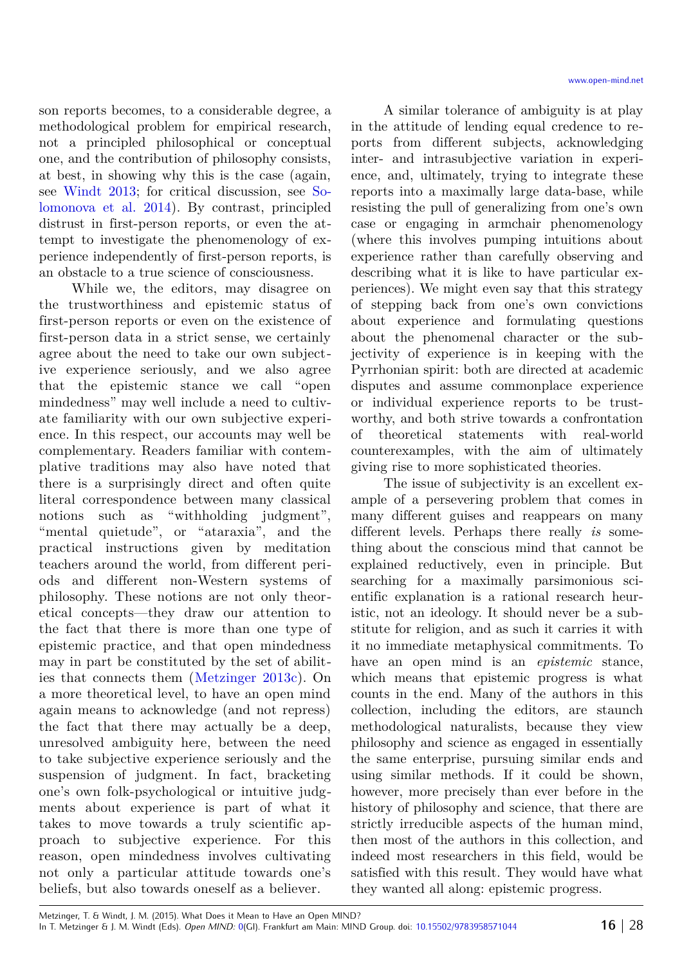son reports becomes, to a considerable degree, a methodological problem for empirical research, not a principled philosophical or conceptual one, and the contribution of philosophy consists, at best, in showing why this is the case (again, see [Windt](#page-27-22) [2013;](#page-27-22) for critical discussion, see [So](#page-27-23)[lomonova et al.](#page-27-23) [2014\)](#page-27-23). By contrast, principled distrust in first-person reports, or even the attempt to investigate the phenomenology of experience independently of first-person reports, is an obstacle to a true science of consciousness.

While we, the editors, may disagree on the trustworthiness and epistemic status of first-person reports or even on the existence of first-person data in a strict sense, we certainly agree about the need to take our own subjective experience seriously, and we also agree that the epistemic stance we call "open mindedness" may well include a need to cultivate familiarity with our own subjective experience. In this respect, our accounts may well be complementary. Readers familiar with contemplative traditions may also have noted that there is a surprisingly direct and often quite literal correspondence between many classical notions such as "withholding judgment", "mental quietude", or "ataraxia", and the practical instructions given by meditation teachers around the world, from different periods and different non-Western systems of philosophy. These notions are not only theoretical concepts—they draw our attention to the fact that there is more than one type of epistemic practice, and that open mindedness may in part be constituted by the set of abilities that connects them [\(Metzinger](#page-26-0) [2013c\)](#page-26-0). On a more theoretical level, to have an open mind again means to acknowledge (and not repress) the fact that there may actually be a deep, unresolved ambiguity here, between the need to take subjective experience seriously and the suspension of judgment. In fact, bracketing one's own folk-psychological or intuitive judgments about experience is part of what it takes to move towards a truly scientific approach to subjective experience. For this reason, open mindedness involves cultivating not only a particular attitude towards one's beliefs, but also towards oneself as a believer.

A similar tolerance of ambiguity is at play in the attitude of lending equal credence to reports from different subjects, acknowledging inter- and intrasubjective variation in experience, and, ultimately, trying to integrate these reports into a maximally large data-base, while resisting the pull of generalizing from one's own case or engaging in armchair phenomenology (where this involves pumping intuitions about experience rather than carefully observing and describing what it is like to have particular experiences). We might even say that this strategy of stepping back from one's own convictions about experience and formulating questions about the phenomenal character or the subjectivity of experience is in keeping with the Pyrrhonian spirit: both are directed at academic disputes and assume commonplace experience or individual experience reports to be trustworthy, and both strive towards a confrontation of theoretical statements with real-world counterexamples, with the aim of ultimately giving rise to more sophisticated theories.

The issue of subjectivity is an excellent example of a persevering problem that comes in many different guises and reappears on many different levels. Perhaps there really *is* something about the conscious mind that cannot be explained reductively, even in principle. But searching for a maximally parsimonious scientific explanation is a rational research heuristic, not an ideology. It should never be a substitute for religion, and as such it carries it with it no immediate metaphysical commitments. To have an open mind is an *epistemic* stance, which means that epistemic progress is what counts in the end. Many of the authors in this collection, including the editors, are staunch methodological naturalists, because they view philosophy and science as engaged in essentially the same enterprise, pursuing similar ends and using similar methods. If it could be shown, however, more precisely than ever before in the history of philosophy and science, that there are strictly irreducible aspects of the human mind, then most of the authors in this collection, and indeed most researchers in this field, would be satisfied with this result. They would have what they wanted all along: epistemic progress.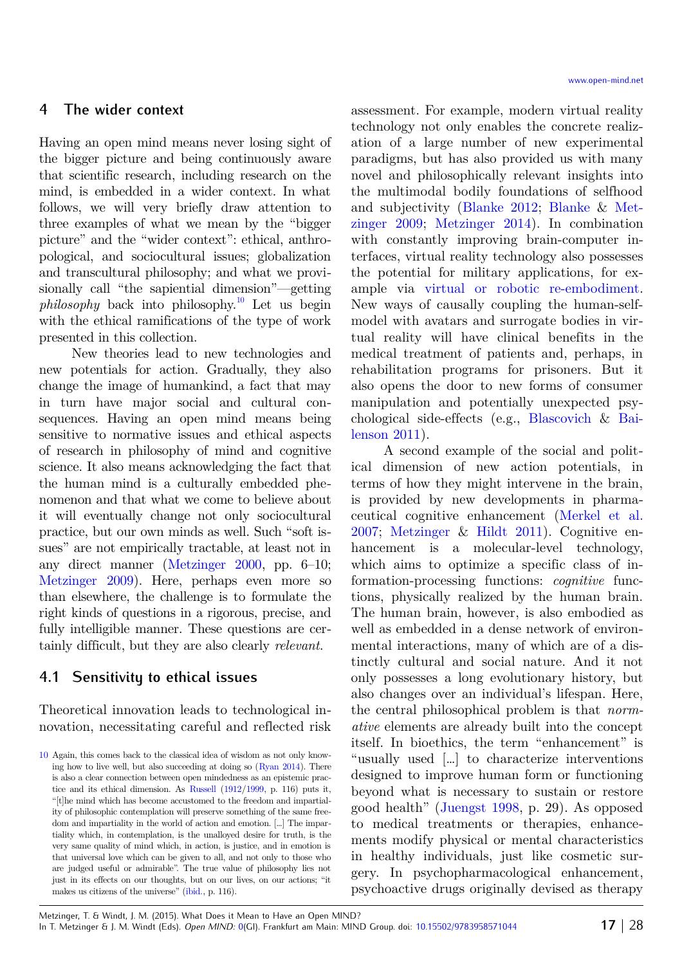#### **4 The wider context**

Having an open mind means never losing sight of the bigger picture and being continuously aware that scientific research, including research on the mind, is embedded in a wider context. In what follows, we will very briefly draw attention to three examples of what we mean by the "bigger picture" and the "wider context": ethical, anthropological, and sociocultural issues; globalization and transcultural philosophy; and what we provisionally call "the sapiential dimension"—getting *philosophy* back into philosophy.<sup>[10](#page-16-0)</sup> Let us begin with the ethical ramifications of the type of work presented in this collection.

New theories lead to new technologies and new potentials for action. Gradually, they also change the image of humankind, a fact that may in turn have major social and cultural consequences. Having an open mind means being sensitive to normative issues and ethical aspects of research in philosophy of mind and cognitive science. It also means acknowledging the fact that the human mind is a culturally embedded phenomenon and that what we come to believe about it will eventually change not only sociocultural practice, but our own minds as well. Such "soft issues" are not empirically tractable, at least not in any direct manner [\(Metzinger](#page-26-21) [2000,](#page-26-21) pp. 6–10; [Metzinger](#page-26-20) [2009\)](#page-26-20). Here, perhaps even more so than elsewhere, the challenge is to formulate the right kinds of questions in a rigorous, precise, and fully intelligible manner. These questions are certainly difficult, but they are also clearly *relevant*.

# **4.1 Sensitivity to ethical issues**

Theoretical innovation leads to technological innovation, necessitating careful and reflected risk assessment. For example, modern virtual reality technology not only enables the concrete realization of a large number of new experimental paradigms, but has also provided us with many novel and philosophically relevant insights into the multimodal bodily foundations of selfhood and subjectivity [\(Blanke](#page-25-20) [2012;](#page-25-20) [Blanke](#page-25-17) & [Met](#page-25-17)[zinger](#page-25-17) [2009;](#page-25-17) [Metzinger](#page-27-15) [2014\)](#page-27-15). In combination with constantly improving brain-computer interfaces, virtual reality technology also possesses the potential for military applications, for example via [virtual or robotic re-embodiment.](http://www.vere.eventlab-ub.org/Public/videos.html) New ways of causally coupling the human-selfmodel with avatars and surrogate bodies in virtual reality will have clinical benefits in the medical treatment of patients and, perhaps, in rehabilitation programs for prisoners. But it also opens the door to new forms of consumer manipulation and potentially unexpected psychological side-effects (e.g., [Blascovich](#page-25-19) & [Bai](#page-25-19)[lenson](#page-25-19) [2011\)](#page-25-19).

A second example of the social and political dimension of new action potentials, in terms of how they might intervene in the brain, is provided by new developments in pharmaceutical cognitive enhancement [\(Merkel et al.](#page-26-19) [2007;](#page-26-19) [Metzinger](#page-27-24) & [Hildt](#page-27-24) [2011\)](#page-27-24). Cognitive enhancement is a molecular-level technology, which aims to optimize a specific class of information-processing functions: *cognitive* functions, physically realized by the human brain. The human brain, however, is also embodied as well as embedded in a dense network of environmental interactions, many of which are of a distinctly cultural and social nature. And it not only possesses a long evolutionary history, but also changes over an individual's lifespan. Here, the central philosophical problem is that *normative* elements are already built into the concept itself. In bioethics, the term "enhancement" is "usually used […] to characterize interventions designed to improve human form or functioning beyond what is necessary to sustain or restore good health" [\(Juengst](#page-26-18) [1998,](#page-26-18) p. 29). As opposed to medical treatments or therapies, enhancements modify physical or mental characteristics in healthy individuals, just like cosmetic surgery. In psychopharmacological enhancement, psychoactive drugs originally devised as therapy

<span id="page-16-0"></span><sup>10</sup> Again, this comes back to the classical idea of wisdom as not only knowing how to live well, but also succeeding at doing so [\(Ryan](#page-27-4) [2014\)](#page-27-4). There is also a clear connection between open mindedness as an epistemic practice and its ethical dimension. As [Russell \(1912/1999,](#page-27-19) p. 116) puts it, "[t]he mind which has become accustomed to the freedom and impartiality of philosophic contemplation will preserve something of the same freedom and impartiality in the world of action and emotion. […] The impartiality which, in contemplation, is the unalloyed desire for truth, is the very same quality of mind which, in action, is justice, and in emotion is that universal love which can be given to all, and not only to those who are judged useful or admirable". The true value of philosophy lies not just in its effects on our thoughts, but on our lives, on our actions; "it makes us citizens of the universe" [\(ibid.,](#page-27-19) p. 116).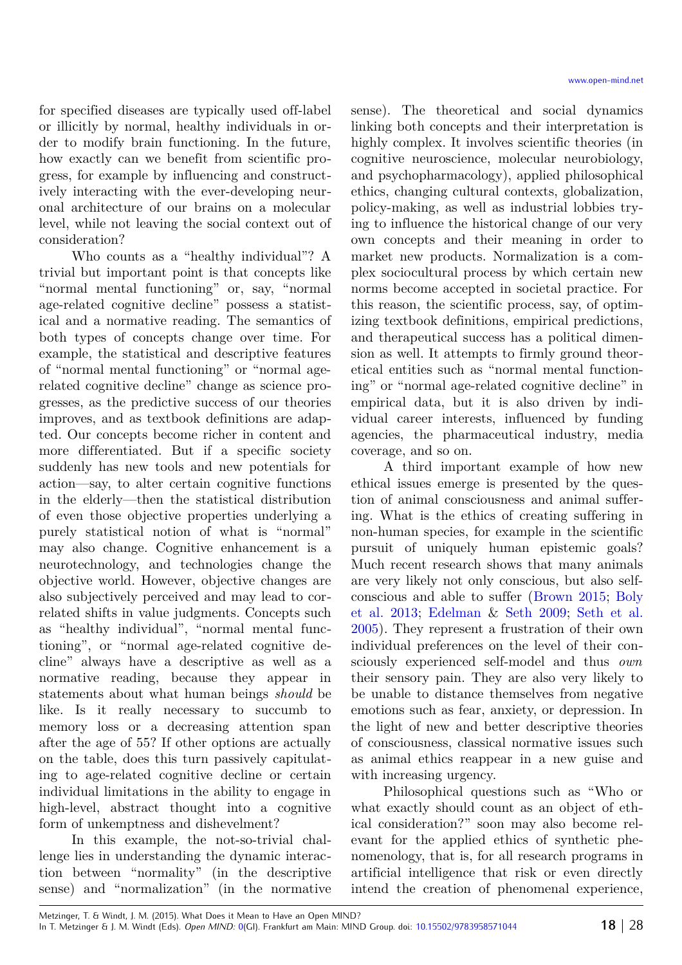for specified diseases are typically used off-label or illicitly by normal, healthy individuals in order to modify brain functioning. In the future, how exactly can we benefit from scientific progress, for example by influencing and constructively interacting with the ever-developing neuronal architecture of our brains on a molecular level, while not leaving the social context out of consideration?

Who counts as a "healthy individual"? A trivial but important point is that concepts like "normal mental functioning" or, say, "normal age-related cognitive decline" possess a statistical and a normative reading. The semantics of both types of concepts change over time. For example, the statistical and descriptive features of "normal mental functioning" or "normal agerelated cognitive decline" change as science progresses, as the predictive success of our theories improves, and as textbook definitions are adapted. Our concepts become richer in content and more differentiated. But if a specific society suddenly has new tools and new potentials for action—say, to alter certain cognitive functions in the elderly—then the statistical distribution of even those objective properties underlying a purely statistical notion of what is "normal" may also change. Cognitive enhancement is a neurotechnology, and technologies change the objective world. However, objective changes are also subjectively perceived and may lead to correlated shifts in value judgments. Concepts such as "healthy individual", "normal mental functioning", or "normal age-related cognitive decline" always have a descriptive as well as a normative reading, because they appear in statements about what human beings *should* be like. Is it really necessary to succumb to memory loss or a decreasing attention span after the age of 55? If other options are actually on the table, does this turn passively capitulating to age-related cognitive decline or certain individual limitations in the ability to engage in high-level, abstract thought into a cognitive form of unkemptness and dishevelment?

In this example, the not-so-trivial challenge lies in understanding the dynamic interaction between "normality" (in the descriptive sense) and "normalization" (in the normative sense). The theoretical and social dynamics linking both concepts and their interpretation is highly complex. It involves scientific theories (in cognitive neuroscience, molecular neurobiology, and psychopharmacology), applied philosophical ethics, changing cultural contexts, globalization, policy-making, as well as industrial lobbies trying to influence the historical change of our very own concepts and their meaning in order to market new products. Normalization is a complex sociocultural process by which certain new norms become accepted in societal practice. For this reason, the scientific process, say, of optimizing textbook definitions, empirical predictions, and therapeutical success has a political dimension as well. It attempts to firmly ground theoretical entities such as "normal mental functioning" or "normal age-related cognitive decline" in empirical data, but it is also driven by individual career interests, influenced by funding agencies, the pharmaceutical industry, media coverage, and so on.

A third important example of how new ethical issues emerge is presented by the question of animal consciousness and animal suffering. What is the ethics of creating suffering in non-human species, for example in the scientific pursuit of uniquely human epistemic goals? Much recent research shows that many animals are very likely not only conscious, but also selfconscious and able to suffer [\(Brown](#page-25-23) [2015;](#page-25-23) [Boly](#page-25-22) [et al.](#page-25-22) [2013;](#page-25-22) [Edelman](#page-25-21) & [Seth](#page-25-21) [2009;](#page-25-21) [Seth et al.](#page-27-25) [2005\)](#page-27-25). They represent a frustration of their own individual preferences on the level of their consciously experienced self-model and thus *own* their sensory pain. They are also very likely to be unable to distance themselves from negative emotions such as fear, anxiety, or depression. In the light of new and better descriptive theories of consciousness, classical normative issues such as animal ethics reappear in a new guise and with increasing urgency.

Philosophical questions such as "Who or what exactly should count as an object of ethical consideration?" soon may also become relevant for the applied ethics of synthetic phenomenology, that is, for all research programs in artificial intelligence that risk or even directly intend the creation of phenomenal experience,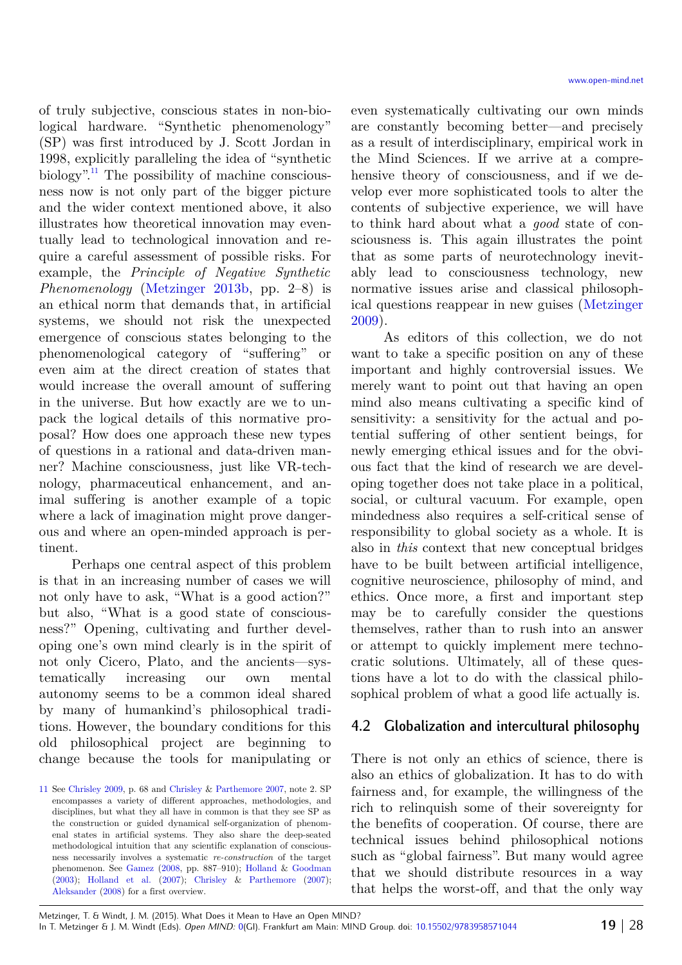of truly subjective, conscious states in non-biological hardware. "Synthetic phenomenology" (SP) was first introduced by J. Scott Jordan in 1998, explicitly paralleling the idea of "synthetic biology".<sup>[11](#page-18-0)</sup> The possibility of machine consciousness now is not only part of the bigger picture and the wider context mentioned above, it also illustrates how theoretical innovation may eventually lead to technological innovation and require a careful assessment of possible risks. For example, the *Principle of Negative Synthetic Phenomenology* [\(Metzinger](#page-26-17) [2013b,](#page-26-17) pp. 2–8) is an ethical norm that demands that, in artificial systems, we should not risk the unexpected emergence of conscious states belonging to the phenomenological category of "suffering" or even aim at the direct creation of states that would increase the overall amount of suffering in the universe. But how exactly are we to unpack the logical details of this normative proposal? How does one approach these new types of questions in a rational and data-driven manner? Machine consciousness, just like VR-technology, pharmaceutical enhancement, and animal suffering is another example of a topic where a lack of imagination might prove dangerous and where an open-minded approach is pertinent.

Perhaps one central aspect of this problem is that in an increasing number of cases we will not only have to ask, "What is a good action?" but also, "What is a good state of consciousness?" Opening, cultivating and further developing one's own mind clearly is in the spirit of not only Cicero, Plato, and the ancients—systematically increasing our own mental autonomy seems to be a common ideal shared by many of humankind's philosophical traditions. However, the boundary conditions for this old philosophical project are beginning to change because the tools for manipulating or even systematically cultivating our own minds are constantly becoming better—and precisely as a result of interdisciplinary, empirical work in the Mind Sciences. If we arrive at a comprehensive theory of consciousness, and if we develop ever more sophisticated tools to alter the contents of subjective experience, we will have to think hard about what a *good* state of consciousness is. This again illustrates the point that as some parts of neurotechnology inevitably lead to consciousness technology, new normative issues arise and classical philosophical questions reappear in new guises [\(Metzinger](#page-26-20) [2009\)](#page-26-20).

As editors of this collection, we do not want to take a specific position on any of these important and highly controversial issues. We merely want to point out that having an open mind also means cultivating a specific kind of sensitivity: a sensitivity for the actual and potential suffering of other sentient beings, for newly emerging ethical issues and for the obvious fact that the kind of research we are developing together does not take place in a political, social, or cultural vacuum. For example, open mindedness also requires a self-critical sense of responsibility to global society as a whole. It is also in *this* context that new conceptual bridges have to be built between artificial intelligence, cognitive neuroscience, philosophy of mind, and ethics. Once more, a first and important step may be to carefully consider the questions themselves, rather than to rush into an answer or attempt to quickly implement mere technocratic solutions. Ultimately, all of these questions have a lot to do with the classical philosophical problem of what a good life actually is.

#### **4.2 Globalization and intercultural philosophy**

There is not only an ethics of science, there is also an ethics of globalization. It has to do with fairness and, for example, the willingness of the rich to relinquish some of their sovereignty for the benefits of cooperation. Of course, there are technical issues behind philosophical notions such as "global fairness". But many would agree that we should distribute resources in a way that helps the worst-off, and that the only way

<span id="page-18-0"></span><sup>11</sup> See [Chrisley](#page-25-27) [2009,](#page-25-27) p. 68 and [Chrisley](#page-25-25) & [Parthemore](#page-25-25) [2007,](#page-25-25) note 2. SP encompasses a variety of different approaches, methodologies, and disciplines, but what they all have in common is that they see SP as the construction or guided dynamical self-organization of phenomenal states in artificial systems. They also share the deep-seated methodological intuition that any scientific explanation of consciousness necessarily involves a systematic *re-construction* of the target phenomenon. See [Gamez \(2008,](#page-25-26) pp. 887–910); [Holland](#page-26-23) & [Goodman](#page-26-23) [\(2003\)](#page-26-23); [Holland](#page-26-22) [et al. \(2007\)](#page-26-22); [Chrisley](#page-25-25) & [Parthemore \(2007\)](#page-25-25); [Aleksander \(2008\)](#page-25-24) for a first overview.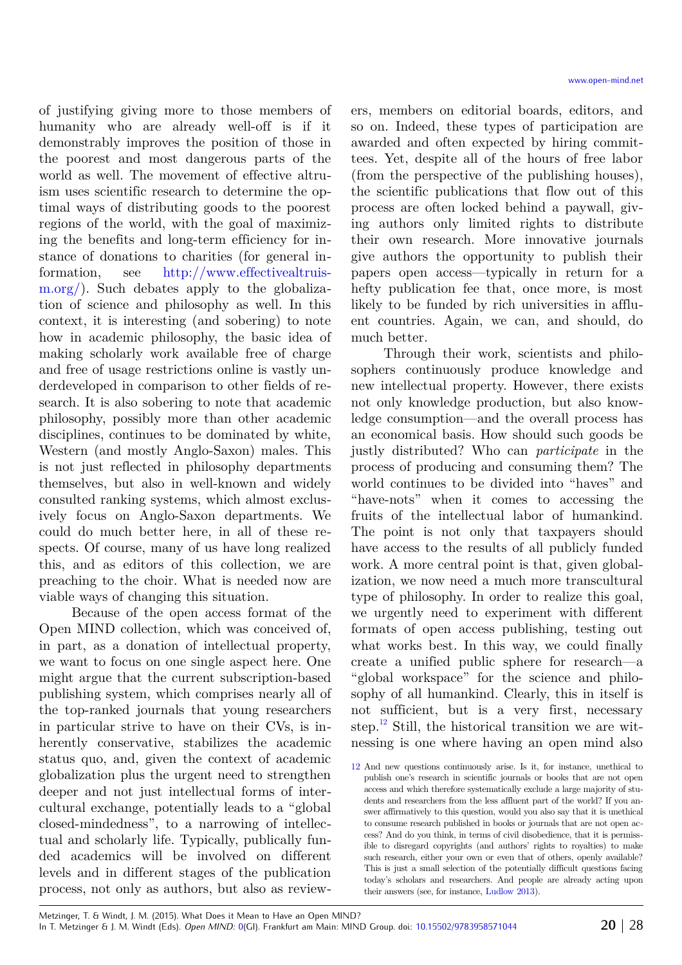of justifying giving more to those members of humanity who are already well-off is if it demonstrably improves the position of those in the poorest and most dangerous parts of the world as well. The movement of effective altruism uses scientific research to determine the optimal ways of distributing goods to the poorest regions of the world, with the goal of maximizing the benefits and long-term efficiency for instance of donations to charities (for general information, see [http://www.effectivealtruis](http://www.effectivealtruism.org/)[m.org/\)](http://www.effectivealtruism.org/). Such debates apply to the globalization of science and philosophy as well. In this context, it is interesting (and sobering) to note how in academic philosophy, the basic idea of making scholarly work available free of charge and free of usage restrictions online is vastly underdeveloped in comparison to other fields of research. It is also sobering to note that academic philosophy, possibly more than other academic disciplines, continues to be dominated by white, Western (and mostly Anglo-Saxon) males. This is not just reflected in philosophy departments themselves, but also in well-known and widely consulted ranking systems, which almost exclusively focus on Anglo-Saxon departments. We could do much better here, in all of these respects. Of course, many of us have long realized this, and as editors of this collection, we are preaching to the choir. What is needed now are viable ways of changing this situation.

Because of the open access format of the Open MIND collection, which was conceived of, in part, as a donation of intellectual property, we want to focus on one single aspect here. One might argue that the current subscription-based publishing system, which comprises nearly all of the top-ranked journals that young researchers in particular strive to have on their CVs, is inherently conservative, stabilizes the academic status quo, and, given the context of academic globalization plus the urgent need to strengthen deeper and not just intellectual forms of intercultural exchange, potentially leads to a "global closed-mindedness", to a narrowing of intellectual and scholarly life. Typically, publically funded academics will be involved on different levels and in different stages of the publication process, not only as authors, but also as reviewers, members on editorial boards, editors, and so on. Indeed, these types of participation are awarded and often expected by hiring committees. Yet, despite all of the hours of free labor (from the perspective of the publishing houses), the scientific publications that flow out of this process are often locked behind a paywall, giving authors only limited rights to distribute their own research. More innovative journals give authors the opportunity to publish their papers open access—typically in return for a hefty publication fee that, once more, is most likely to be funded by rich universities in affluent countries. Again, we can, and should, do much better.

Through their work, scientists and philosophers continuously produce knowledge and new intellectual property. However, there exists not only knowledge production, but also knowledge consumption—and the overall process has an economical basis. How should such goods be justly distributed? Who can *participate* in the process of producing and consuming them? The world continues to be divided into "haves" and "have-nots" when it comes to accessing the fruits of the intellectual labor of humankind. The point is not only that taxpayers should have access to the results of all publicly funded work. A more central point is that, given globalization, we now need a much more transcultural type of philosophy. In order to realize this goal, we urgently need to experiment with different formats of open access publishing, testing out what works best. In this way, we could finally create a unified public sphere for research—a "global workspace" for the science and philosophy of all humankind. Clearly, this in itself is not sufficient, but is a very first, necessary step.<sup>[12](#page-19-0)</sup> Still, the historical transition we are witnessing is one where having an open mind also

<span id="page-19-0"></span><sup>12</sup> And new questions continuously arise. Is it, for instance, unethical to publish one's research in scientific journals or books that are not open access and which therefore systematically exclude a large majority of students and researchers from the less affluent part of the world? If you answer affirmatively to this question, would you also say that it is unethical to consume research published in books or journals that are not open access? And do you think, in terms of civil disobedience, that it is permissible to disregard copyrights (and authors' rights to royalties) to make such research, either your own or even that of others, openly available? This is just a small selection of the potentially difficult questions facing today's scholars and researchers. And people are already acting upon their answers (see, for instance, [Ludlow](#page-26-24) [2013\)](#page-26-24).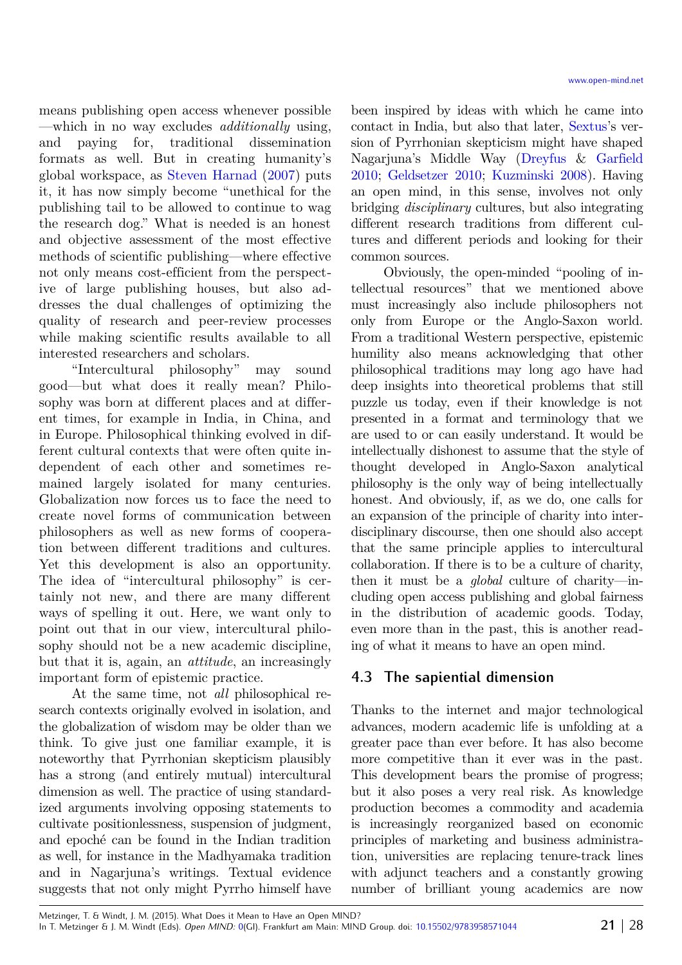means publishing open access whenever possible —which in no way excludes *additionally* using, and paying for, traditional dissemination formats as well. But in creating humanity's global workspace, as [Steven](#page-26-25) [Harnad \(2007\)](#page-26-25) puts it, it has now simply become "unethical for the publishing tail to be allowed to continue to wag the research dog." What is needed is an honest and objective assessment of the most effective methods of scientific publishing—where effective not only means cost-efficient from the perspective of large publishing houses, but also addresses the dual challenges of optimizing the quality of research and peer-review processes while making scientific results available to all interested researchers and scholars.

"Intercultural philosophy" may sound good—but what does it really mean? Philosophy was born at different places and at different times, for example in India, in China, and in Europe. Philosophical thinking evolved in different cultural contexts that were often quite independent of each other and sometimes remained largely isolated for many centuries. Globalization now forces us to face the need to create novel forms of communication between philosophers as well as new forms of cooperation between different traditions and cultures. Yet this development is also an opportunity. The idea of "intercultural philosophy" is certainly not new, and there are many different ways of spelling it out. Here, we want only to point out that in our view, intercultural philosophy should not be a new academic discipline, but that it is, again, an *attitude*, an increasingly important form of epistemic practice.

At the same time, not *all* philosophical research contexts originally evolved in isolation, and the globalization of wisdom may be older than we think. To give just one familiar example, it is noteworthy that Pyrrhonian skepticism plausibly has a strong (and entirely mutual) intercultural dimension as well. The practice of using standardized arguments involving opposing statements to cultivate positionlessness, suspension of judgment, and epoché can be found in the Indian tradition as well, for instance in the Madhyamaka tradition and in Nagarjuna's writings. Textual evidence suggests that not only might Pyrrho himself have been inspired by ideas with which he came into contact in India, but also that later, [Sextus'](#page-27-18)s version of Pyrrhonian skepticism might have shaped Nagarjuna's Middle Way [\(Dreyfus](#page-25-28) & [Garfield](#page-25-28) [2010;](#page-25-28) [Geldsetzer](#page-26-27) [2010;](#page-26-27) [Kuzminski](#page-26-26) [2008\)](#page-26-26). Having an open mind, in this sense, involves not only bridging *disciplinary* cultures, but also integrating different research traditions from different cultures and different periods and looking for their common sources.

Obviously, the open-minded "pooling of intellectual resources" that we mentioned above must increasingly also include philosophers not only from Europe or the Anglo-Saxon world. From a traditional Western perspective, epistemic humility also means acknowledging that other philosophical traditions may long ago have had deep insights into theoretical problems that still puzzle us today, even if their knowledge is not presented in a format and terminology that we are used to or can easily understand. It would be intellectually dishonest to assume that the style of thought developed in Anglo-Saxon analytical philosophy is the only way of being intellectually honest. And obviously, if, as we do, one calls for an expansion of the principle of charity into interdisciplinary discourse, then one should also accept that the same principle applies to intercultural collaboration. If there is to be a culture of charity, then it must be a *global* culture of charity—including open access publishing and global fairness in the distribution of academic goods. Today, even more than in the past, this is another reading of what it means to have an open mind.

#### **4.3 The sapiential dimension**

Thanks to the internet and major technological advances, modern academic life is unfolding at a greater pace than ever before. It has also become more competitive than it ever was in the past. This development bears the promise of progress; but it also poses a very real risk. As knowledge production becomes a commodity and academia is increasingly reorganized based on economic principles of marketing and business administration, universities are replacing tenure-track lines with adjunct teachers and a constantly growing number of brilliant young academics are now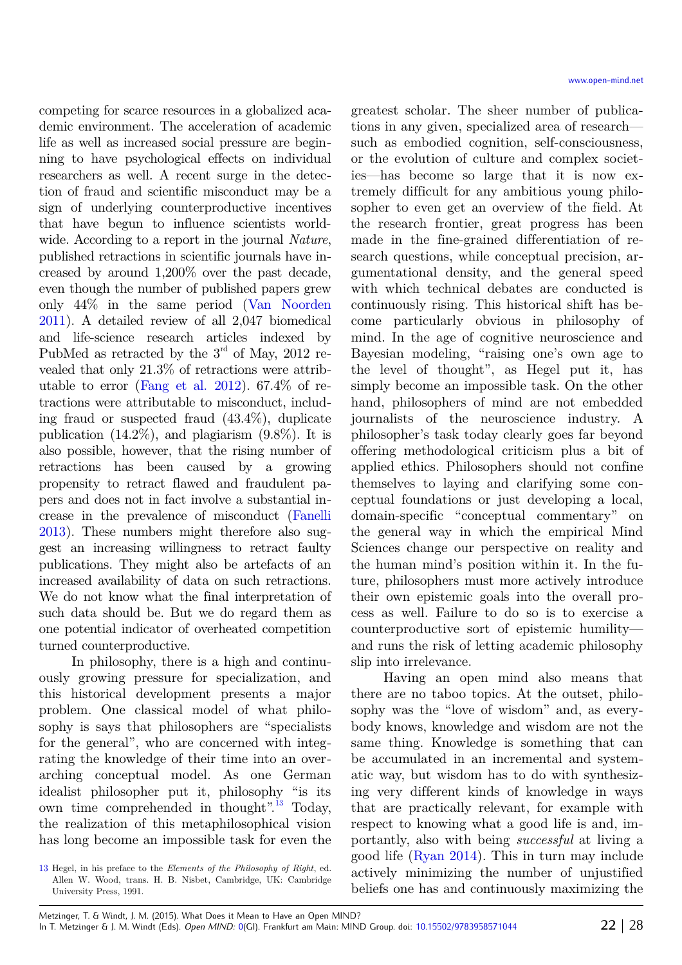competing for scarce resources in a globalized academic environment. The acceleration of academic life as well as increased social pressure are beginning to have psychological effects on individual researchers as well. A recent surge in the detection of fraud and scientific misconduct may be a sign of underlying counterproductive incentives that have begun to influence scientists worldwide. According to a report in the journal *Nature*, published retractions in scientific journals have increased by around 1,200% over the past decade, even though the number of published papers grew only 44% in the same period [\(Van](#page-27-26) [Noorden](#page-27-26) [2011\)](#page-27-26). A detailed review of all 2,047 biomedical and life-science research articles indexed by PubMed as retracted by the  $3<sup>rd</sup>$  of May, 2012 revealed that only 21.3% of retractions were attributable to error [\(Fang et al.](#page-25-30) [2012\)](#page-25-30). 67.4% of retractions were attributable to misconduct, including fraud or suspected fraud (43.4%), duplicate publication  $(14.2\%)$ , and plagiarism  $(9.8\%)$ . It is also possible, however, that the rising number of retractions has been caused by a growing propensity to retract flawed and fraudulent papers and does not in fact involve a substantial increase in the prevalence of misconduct [\(Fanelli](#page-25-29) [2013\)](#page-25-29). These numbers might therefore also suggest an increasing willingness to retract faulty publications. They might also be artefacts of an increased availability of data on such retractions. We do not know what the final interpretation of such data should be. But we do regard them as one potential indicator of overheated competition turned counterproductive.

In philosophy, there is a high and continuously growing pressure for specialization, and this historical development presents a major problem. One classical model of what philosophy is says that philosophers are "specialists for the general", who are concerned with integrating the knowledge of their time into an overarching conceptual model. As one German idealist philosopher put it, philosophy "is its own time comprehended in thought".<sup>[13](#page-21-0)</sup> Today, the realization of this metaphilosophical vision has long become an impossible task for even the greatest scholar. The sheer number of publications in any given, specialized area of research such as embodied cognition, self-consciousness, or the evolution of culture and complex societies—has become so large that it is now extremely difficult for any ambitious young philosopher to even get an overview of the field. At the research frontier, great progress has been made in the fine-grained differentiation of research questions, while conceptual precision, argumentational density, and the general speed with which technical debates are conducted is continuously rising. This historical shift has become particularly obvious in philosophy of mind. In the age of cognitive neuroscience and Bayesian modeling, "raising one's own age to the level of thought", as Hegel put it, has simply become an impossible task. On the other hand, philosophers of mind are not embedded journalists of the neuroscience industry. A philosopher's task today clearly goes far beyond offering methodological criticism plus a bit of applied ethics. Philosophers should not confine themselves to laying and clarifying some conceptual foundations or just developing a local, domain-specific "conceptual commentary" on the general way in which the empirical Mind Sciences change our perspective on reality and the human mind's position within it. In the future, philosophers must more actively introduce their own epistemic goals into the overall process as well. Failure to do so is to exercise a counterproductive sort of epistemic humility and runs the risk of letting academic philosophy slip into irrelevance.

Having an open mind also means that there are no taboo topics. At the outset, philosophy was the "love of wisdom" and, as everybody knows, knowledge and wisdom are not the same thing. Knowledge is something that can be accumulated in an incremental and systematic way, but wisdom has to do with synthesizing very different kinds of knowledge in ways that are practically relevant, for example with respect to knowing what a good life is and, importantly, also with being *successful* at living a good life [\(Ryan](#page-27-4) [2014\)](#page-27-4). This in turn may include actively minimizing the number of unjustified beliefs one has and continuously maximizing the

<span id="page-21-0"></span><sup>13</sup> Hegel, in his preface to the *Elements of the Philosophy of Right*, ed. Allen W. Wood, trans. H. B. Nisbet, Cambridge, UK: Cambridge University Press, 1991.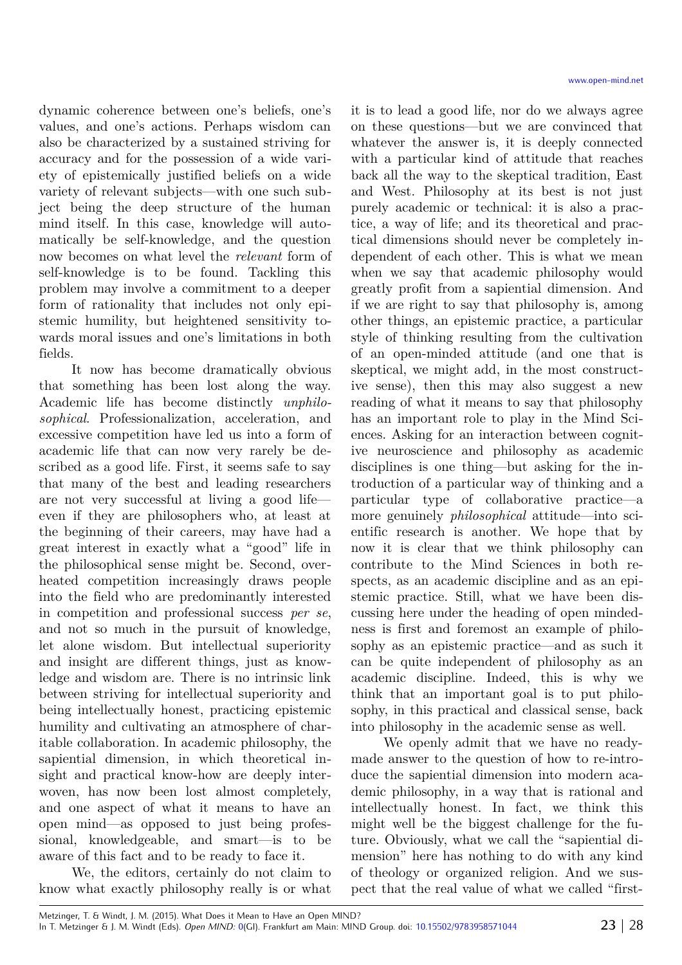dynamic coherence between one's beliefs, one's values, and one's actions. Perhaps wisdom can also be characterized by a sustained striving for accuracy and for the possession of a wide variety of epistemically justified beliefs on a wide variety of relevant subjects—with one such subject being the deep structure of the human mind itself. In this case, knowledge will automatically be self-knowledge, and the question now becomes on what level the *relevant* form of self-knowledge is to be found. Tackling this problem may involve a commitment to a deeper form of rationality that includes not only epistemic humility, but heightened sensitivity towards moral issues and one's limitations in both fields.

It now has become dramatically obvious that something has been lost along the way. Academic life has become distinctly *unphilosophical*. Professionalization, acceleration, and excessive competition have led us into a form of academic life that can now very rarely be described as a good life. First, it seems safe to say that many of the best and leading researchers are not very successful at living a good life even if they are philosophers who, at least at the beginning of their careers, may have had a great interest in exactly what a "good" life in the philosophical sense might be. Second, overheated competition increasingly draws people into the field who are predominantly interested in competition and professional success *per se*, and not so much in the pursuit of knowledge, let alone wisdom. But intellectual superiority and insight are different things, just as knowledge and wisdom are. There is no intrinsic link between striving for intellectual superiority and being intellectually honest, practicing epistemic humility and cultivating an atmosphere of charitable collaboration. In academic philosophy, the sapiential dimension, in which theoretical insight and practical know-how are deeply interwoven, has now been lost almost completely, and one aspect of what it means to have an open mind—as opposed to just being professional, knowledgeable, and smart—is to be aware of this fact and to be ready to face it.

We, the editors, certainly do not claim to know what exactly philosophy really is or what it is to lead a good life, nor do we always agree on these questions—but we are convinced that whatever the answer is, it is deeply connected with a particular kind of attitude that reaches back all the way to the skeptical tradition, East and West. Philosophy at its best is not just purely academic or technical: it is also a practice, a way of life; and its theoretical and practical dimensions should never be completely independent of each other. This is what we mean when we say that academic philosophy would greatly profit from a sapiential dimension. And if we are right to say that philosophy is, among other things, an epistemic practice, a particular style of thinking resulting from the cultivation of an open-minded attitude (and one that is skeptical, we might add, in the most constructive sense), then this may also suggest a new reading of what it means to say that philosophy has an important role to play in the Mind Sciences. Asking for an interaction between cognitive neuroscience and philosophy as academic disciplines is one thing—but asking for the introduction of a particular way of thinking and a particular type of collaborative practice—a more genuinely *philosophical* attitude—into scientific research is another. We hope that by now it is clear that we think philosophy can contribute to the Mind Sciences in both respects, as an academic discipline and as an epistemic practice. Still, what we have been discussing here under the heading of open mindedness is first and foremost an example of philosophy as an epistemic practice—and as such it can be quite independent of philosophy as an academic discipline. Indeed, this is why we think that an important goal is to put philosophy, in this practical and classical sense, back into philosophy in the academic sense as well.

We openly admit that we have no readymade answer to the question of how to re-introduce the sapiential dimension into modern academic philosophy, in a way that is rational and intellectually honest. In fact, we think this might well be the biggest challenge for the future. Obviously, what we call the "sapiential dimension" here has nothing to do with any kind of theology or organized religion. And we suspect that the real value of what we called "first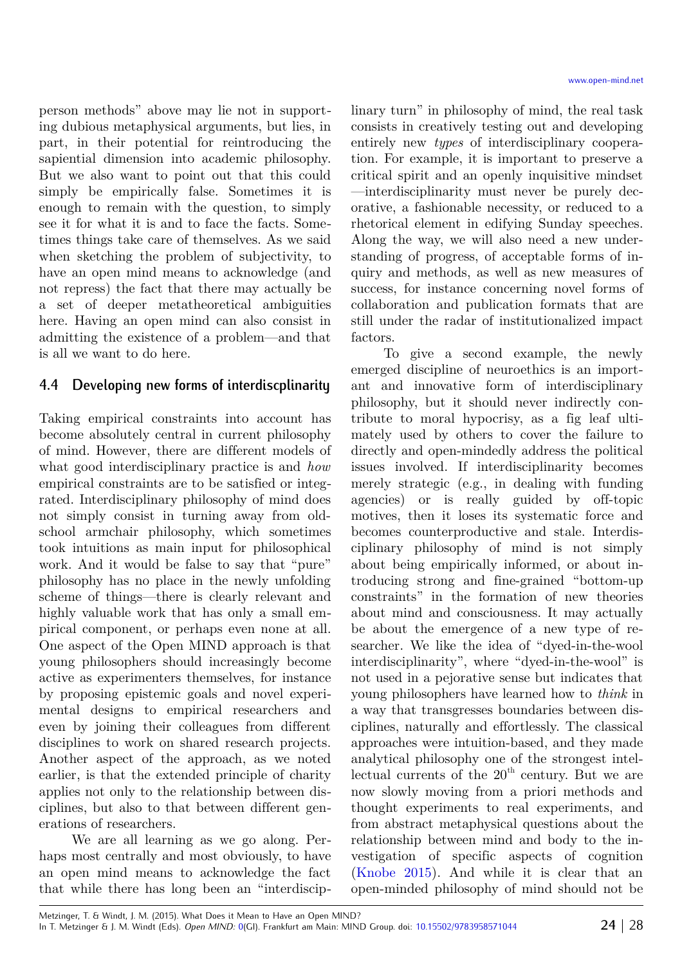person methods" above may lie not in supporting dubious metaphysical arguments, but lies, in part, in their potential for reintroducing the sapiential dimension into academic philosophy. But we also want to point out that this could simply be empirically false. Sometimes it is enough to remain with the question, to simply see it for what it is and to face the facts. Sometimes things take care of themselves. As we said when sketching the problem of subjectivity, to have an open mind means to acknowledge (and not repress) the fact that there may actually be a set of deeper metatheoretical ambiguities here. Having an open mind can also consist in admitting the existence of a problem—and that is all we want to do here.

# **4.4 Developing new forms of interdiscplinarity**

Taking empirical constraints into account has become absolutely central in current philosophy of mind. However, there are different models of what good interdisciplinary practice is and *how* empirical constraints are to be satisfied or integrated. Interdisciplinary philosophy of mind does not simply consist in turning away from oldschool armchair philosophy, which sometimes took intuitions as main input for philosophical work. And it would be false to say that "pure" philosophy has no place in the newly unfolding scheme of things—there is clearly relevant and highly valuable work that has only a small empirical component, or perhaps even none at all. One aspect of the Open MIND approach is that young philosophers should increasingly become active as experimenters themselves, for instance by proposing epistemic goals and novel experimental designs to empirical researchers and even by joining their colleagues from different disciplines to work on shared research projects. Another aspect of the approach, as we noted earlier, is that the extended principle of charity applies not only to the relationship between disciplines, but also to that between different generations of researchers.

We are all learning as we go along. Perhaps most centrally and most obviously, to have an open mind means to acknowledge the fact that while there has long been an "interdisciplinary turn" in philosophy of mind, the real task consists in creatively testing out and developing entirely new *types* of interdisciplinary cooperation. For example, it is important to preserve a critical spirit and an openly inquisitive mindset —interdisciplinarity must never be purely decorative, a fashionable necessity, or reduced to a rhetorical element in edifying Sunday speeches. Along the way, we will also need a new understanding of progress, of acceptable forms of inquiry and methods, as well as new measures of success, for instance concerning novel forms of collaboration and publication formats that are still under the radar of institutionalized impact factors.

To give a second example, the newly emerged discipline of neuroethics is an important and innovative form of interdisciplinary philosophy, but it should never indirectly contribute to moral hypocrisy, as a fig leaf ultimately used by others to cover the failure to directly and open-mindedly address the political issues involved. If interdisciplinarity becomes merely strategic (e.g., in dealing with funding agencies) or is really guided by off-topic motives, then it loses its systematic force and becomes counterproductive and stale. Interdisciplinary philosophy of mind is not simply about being empirically informed, or about introducing strong and fine-grained "bottom-up constraints" in the formation of new theories about mind and consciousness. It may actually be about the emergence of a new type of researcher. We like the idea of "dyed-in-the-wool interdisciplinarity", where "dyed-in-the-wool" is not used in a pejorative sense but indicates that young philosophers have learned how to *think* in a way that transgresses boundaries between disciplines, naturally and effortlessly. The classical approaches were intuition-based, and they made analytical philosophy one of the strongest intellectual currents of the  $20<sup>th</sup>$  century. But we are now slowly moving from a priori methods and thought experiments to real experiments, and from abstract metaphysical questions about the relationship between mind and body to the investigation of specific aspects of cognition [\(Knobe](#page-26-28) [2015\)](#page-26-28). And while it is clear that an open-minded philosophy of mind should not be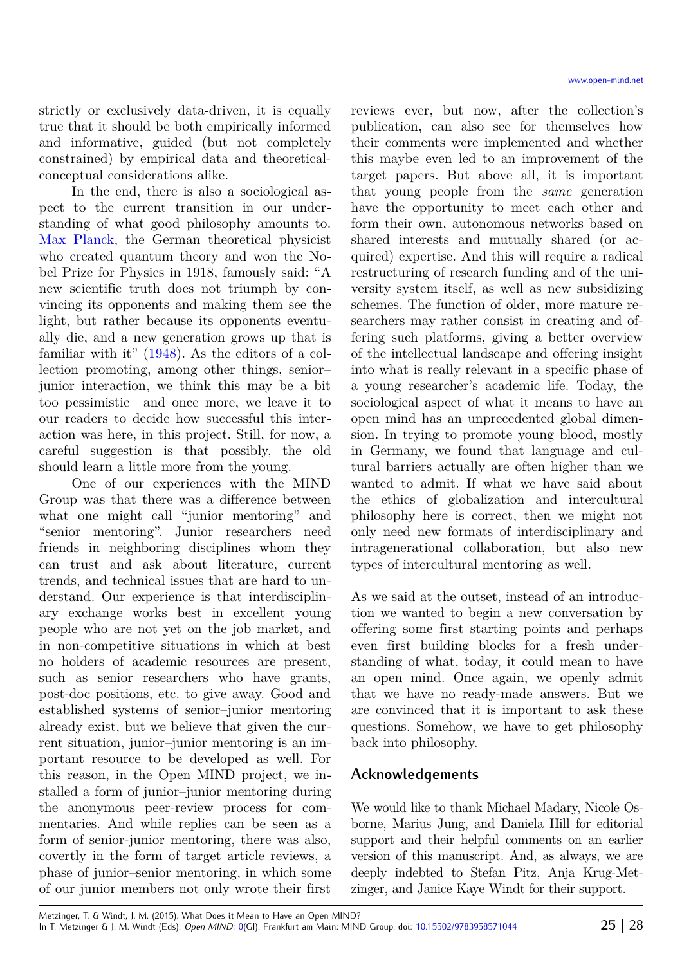strictly or exclusively data-driven, it is equally true that it should be both empirically informed and informative, guided (but not completely constrained) by empirical data and theoreticalconceptual considerations alike.

In the end, there is also a sociological aspect to the current transition in our understanding of what good philosophy amounts to. [Max](#page-27-27) [Planck,](#page-27-27) the German theoretical physicist who created quantum theory and won the Nobel Prize for Physics in 1918, famously said: "A new scientific truth does not triumph by convincing its opponents and making them see the light, but rather because its opponents eventually die, and a new generation grows up that is familiar with it" [\(1948\)](#page-27-27). As the editors of a collection promoting, among other things, senior– junior interaction, we think this may be a bit too pessimistic—and once more, we leave it to our readers to decide how successful this interaction was here, in this project. Still, for now, a careful suggestion is that possibly, the old should learn a little more from the young.

One of our experiences with the MIND Group was that there was a difference between what one might call "junior mentoring" and "senior mentoring". Junior researchers need friends in neighboring disciplines whom they can trust and ask about literature, current trends, and technical issues that are hard to understand. Our experience is that interdisciplinary exchange works best in excellent young people who are not yet on the job market, and in non-competitive situations in which at best no holders of academic resources are present, such as senior researchers who have grants, post-doc positions, etc. to give away. Good and established systems of senior–junior mentoring already exist, but we believe that given the current situation, junior–junior mentoring is an important resource to be developed as well. For this reason, in the Open MIND project, we installed a form of junior–junior mentoring during the anonymous peer-review process for commentaries. And while replies can be seen as a form of senior-junior mentoring, there was also, covertly in the form of target article reviews, a phase of junior–senior mentoring, in which some of our junior members not only wrote their first

reviews ever, but now, after the collection's publication, can also see for themselves how their comments were implemented and whether this maybe even led to an improvement of the target papers. But above all, it is important that young people from the *same* generation have the opportunity to meet each other and form their own, autonomous networks based on shared interests and mutually shared (or acquired) expertise. And this will require a radical restructuring of research funding and of the university system itself, as well as new subsidizing schemes. The function of older, more mature researchers may rather consist in creating and offering such platforms, giving a better overview of the intellectual landscape and offering insight into what is really relevant in a specific phase of a young researcher's academic life. Today, the sociological aspect of what it means to have an open mind has an unprecedented global dimension. In trying to promote young blood, mostly in Germany, we found that language and cultural barriers actually are often higher than we wanted to admit. If what we have said about the ethics of globalization and intercultural philosophy here is correct, then we might not only need new formats of interdisciplinary and intragenerational collaboration, but also new types of intercultural mentoring as well.

As we said at the outset, instead of an introduction we wanted to begin a new conversation by offering some first starting points and perhaps even first building blocks for a fresh understanding of what, today, it could mean to have an open mind. Once again, we openly admit that we have no ready-made answers. But we are convinced that it is important to ask these questions. Somehow, we have to get philosophy back into philosophy.

# **Acknowledgements**

We would like to thank Michael Madary, Nicole Osborne, Marius Jung, and Daniela Hill for editorial support and their helpful comments on an earlier version of this manuscript. And, as always, we are deeply indebted to Stefan Pitz, Anja Krug-Metzinger, and Janice Kaye Windt for their support.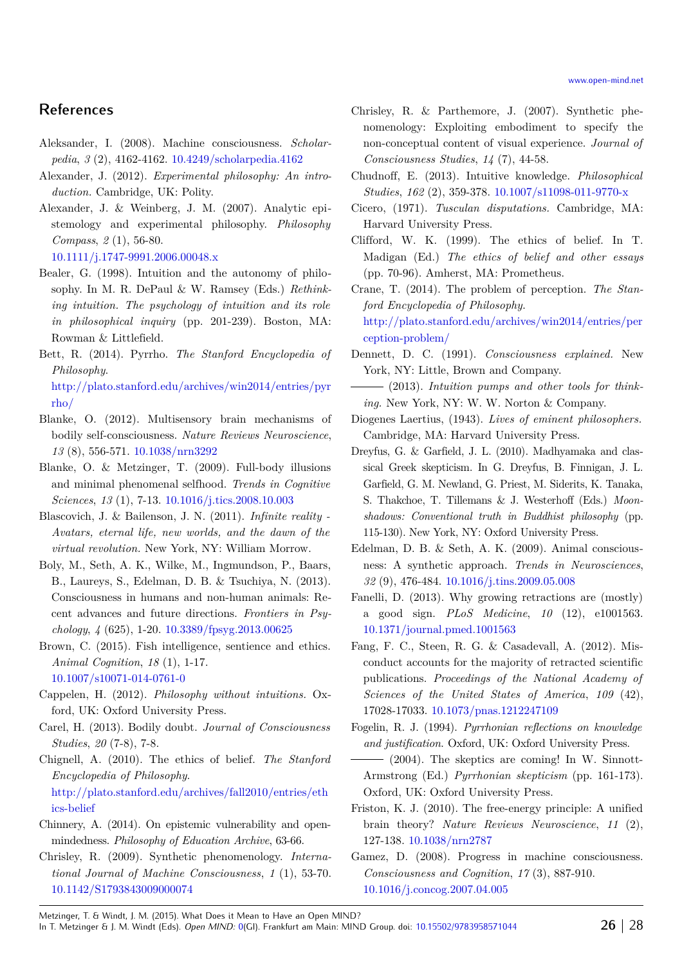#### **References**

- <span id="page-25-24"></span>Aleksander, I. (2008). Machine consciousness. *Scholarpedia*, *3* (2), 4162-4162. [10.4249/scholarpedia.4162](http://dx.doi.org/10.4249/scholarpedia.4162)
- <span id="page-25-1"></span>Alexander, J. (2012). *Experimental philosophy: An introduction.* Cambridge, UK: Polity.
- <span id="page-25-0"></span>Alexander, J. & Weinberg, J. M. (2007). Analytic epistemology and experimental philosophy. *Philosophy Compass*, *2* (1), 56-80.

[10.1111/j.1747-9991.2006.00048.x](http://dx.doi.org/10.1111/j.1747-9991.2006.00048.x)

- <span id="page-25-5"></span>Bealer, G. (1998). Intuition and the autonomy of philosophy. In M. R. DePaul & W. Ramsey (Eds.) *Rethinking intuition. The psychology of intuition and its role in philosophical inquiry* (pp. 201-239). Boston, MA: Rowman & Littlefield.
- <span id="page-25-9"></span>Bett, R. (2014). Pyrrho. *The Stanford Encyclopedia of Philosophy*. [http://plato.stanford.edu/archives/win2014/entries/pyr](http://plato.stanford.edu/archives/win2014/entries/pyrrho/) [rho/](http://plato.stanford.edu/archives/win2014/entries/pyrrho/)
- <span id="page-25-20"></span>Blanke, O. (2012). Multisensory brain mechanisms of bodily self-consciousness. *Nature Reviews Neuroscience*, *13* (8), 556-571. [10.1038/nrn3292](http://dx.doi.org/10.1038/nrn3292)
- <span id="page-25-17"></span>Blanke, O. & Metzinger, T. (2009). Full-body illusions and minimal phenomenal selfhood. *Trends in Cognitive Sciences*, *13* (1), 7-13. [10.1016/j.tics.2008.10.003](http://dx.doi.org/10.1016/j.tics.2008.10.003)
- <span id="page-25-19"></span>Blascovich, J. & Bailenson, J. N. (2011). *Infinite reality - Avatars, eternal life, new worlds, and the dawn of the virtual revolution.* New York, NY: William Morrow.
- <span id="page-25-22"></span>Boly, M., Seth, A. K., Wilke, M., Ingmundson, P., Baars, B., Laureys, S., Edelman, D. B. & Tsuchiya, N. (2013). Consciousness in humans and non-human animals: Recent advances and future directions. *Frontiers in Psychology*, *4* (625), 1-20. [10.3389/fpsyg.2013.00625](http://dx.doi.org/10.3389/fpsyg.2013.00625)
- <span id="page-25-23"></span>Brown, C. (2015). Fish intelligence, sentience and ethics. *Animal Cognition*, *18* (1), 1-17. [10.1007/s10071-014-0761-0](http://dx.doi.org/10.1007/s10071-014-0761-0)
- <span id="page-25-2"></span>Cappelen, H. (2012). *Philosophy without intuitions.* Oxford, UK: Oxford University Press.
- <span id="page-25-14"></span>Carel, H. (2013). Bodily doubt. *Journal of Consciousness Studies*, *20* (7-8), 7-8.
- <span id="page-25-12"></span>Chignell, A. (2010). The ethics of belief. *The Stanford Encyclopedia of Philosophy*. [http://plato.stanford.edu/archives/fall2010/entries/eth](http://plato.stanford.edu/archives/fall2010/entries/ethics-belief) [ics-belief](http://plato.stanford.edu/archives/fall2010/entries/ethics-belief)
- <span id="page-25-16"></span>Chinnery, A. (2014). On epistemic vulnerability and openmindedness. *Philosophy of Education Archive*, 63-66.
- <span id="page-25-27"></span>Chrisley, R. (2009). Synthetic phenomenology. *International Journal of Machine Consciousness*, *1* (1), 53-70. [10.1142/S1793843009000074](http://dx.doi.org/10.1142/S1793843009000074)
- <span id="page-25-25"></span>Chrisley, R. & Parthemore, J. (2007). Synthetic phenomenology: Exploiting embodiment to specify the non-conceptual content of visual experience. *Journal of Consciousness Studies*, *14* (7), 44-58.
- <span id="page-25-4"></span>Chudnoff, E. (2013). Intuitive knowledge. *Philosophical Studies*, *162* (2), 359-378. [10.1007/s11098-011-9770-x](http://dx.doi.org/10.1007/s11098-011-9770-x)
- <span id="page-25-18"></span>Cicero, (1971). *Tusculan disputations.* Cambridge, MA: Harvard University Press.
- <span id="page-25-13"></span>Clifford, W. K. (1999). The ethics of belief. In T. Madigan (Ed.) *The ethics of belief and other essays* (pp. 70-96). Amherst, MA: Prometheus.

<span id="page-25-3"></span>Crane, T. (2014). The problem of perception. *The Stanford Encyclopedia of Philosophy*.

[http://plato.stanford.edu/archives/win2014/entries/per](http://plato.stanford.edu/archives/win2014/entries/perception-problem/) [ception-problem/](http://plato.stanford.edu/archives/win2014/entries/perception-problem/)

- <span id="page-25-7"></span>Dennett, D. C. (1991). *Consciousness explained.* New York, NY: Little, Brown and Company.
- <span id="page-25-15"></span> (2013). *Intuition pumps and other tools for thinking.* New York, NY: W. W. Norton & Company.
- <span id="page-25-8"></span>Diogenes Laertius, (1943). *Lives of eminent philosophers.* Cambridge, MA: Harvard University Press.
- <span id="page-25-28"></span>Dreyfus, G. & Garfield, J. L. (2010). Madhyamaka and classical Greek skepticism. In G. Dreyfus, B. Finnigan, J. L. Garfield, G. M. Newland, G. Priest, M. Siderits, K. Tanaka, S. Thakchoe, T. Tillemans & J. Westerhoff (Eds.) *Moonshadows: Conventional truth in Buddhist philosophy* (pp. 115-130). New York, NY: Oxford University Press.
- <span id="page-25-21"></span>Edelman, D. B. & Seth, A. K. (2009). Animal consciousness: A synthetic approach. *Trends in Neurosciences*, *32* (9), 476-484. [10.1016/j.tins.2009.05.008](http://dx.doi.org/10.1016/j.tins.2009.05.008)
- <span id="page-25-29"></span>Fanelli, D. (2013). Why growing retractions are (mostly) a good sign. *PLoS Medicine*, *10* (12), e1001563. [10.1371/journal.pmed.1001563](http://dx.doi.org/10.1371/journal.pmed.1001563)
- <span id="page-25-30"></span>Fang, F. C., Steen, R. G. & Casadevall, A. (2012). Misconduct accounts for the majority of retracted scientific publications. *Proceedings of the National Academy of Sciences of the United States of America*, *109* (42), 17028-17033. [10.1073/pnas.1212247109](http://dx.doi.org/10.1073/pnas.1212247109)
- <span id="page-25-11"></span>Fogelin, R. J. (1994). *Pyrrhonian reflections on knowledge and justification.* Oxford, UK: Oxford University Press.
- <span id="page-25-10"></span> $-$  (2004). The skeptics are coming! In W. Sinnott-Armstrong (Ed.) *Pyrrhonian skepticism* (pp. 161-173). Oxford, UK: Oxford University Press.
- <span id="page-25-6"></span>Friston, K. J. (2010). The free-energy principle: A unified brain theory? *Nature Reviews Neuroscience*, *11* (2), 127-138. [10.1038/nrn2787](http://dx.doi.org/10.1038/nrn2787)

Metzinger, T. & Windt, J. M. (2015). What Does it Mean to Have an Open MIND? In T. Metzinger & J. M. Windt (Eds). *Open MIND:* 0(GI). Frankfurt am Main: MIND Group. doi: [10.15502/9783958571044](http://dx.doi.org/10.15502/9783958571044) **26** | 28

<span id="page-25-26"></span>Gamez, D. (2008). Progress in machine consciousness. *Consciousness and Cognition*, *17* (3), 887-910. [10.1016/j.concog.2007.04.005](http://dx.doi.org/10.1016/j.concog.2007.04.005)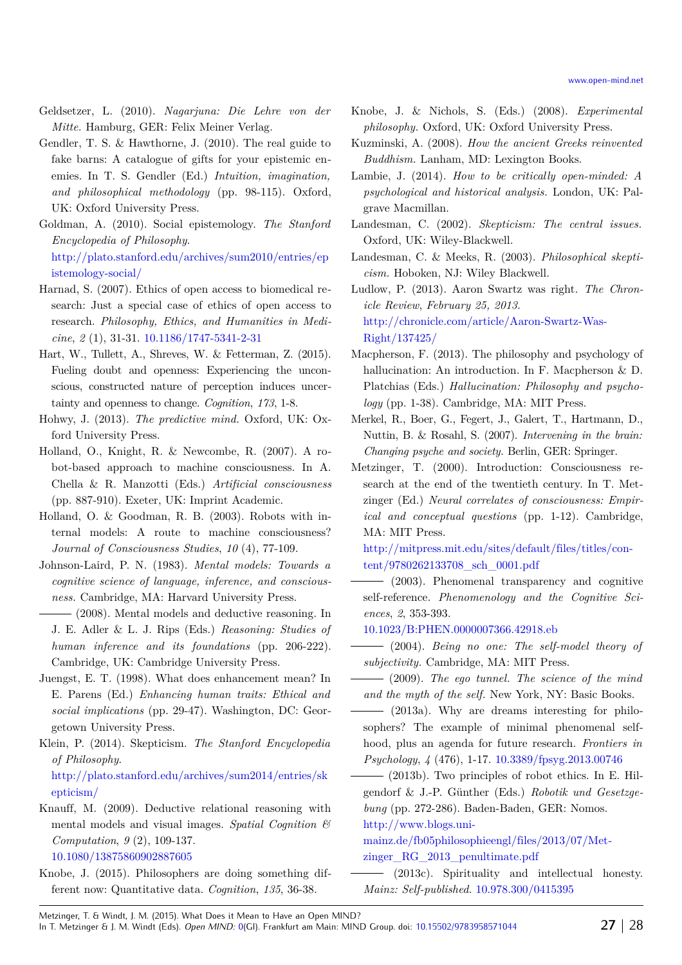- <span id="page-26-27"></span>Geldsetzer, L. (2010). *Nagarjuna: Die Lehre von der Mitte.* Hamburg, GER: Felix Meiner Verlag.
- <span id="page-26-14"></span>Gendler, T. S. & Hawthorne, J. (2010). The real guide to fake barns: A catalogue of gifts for your epistemic enemies. In T. S. Gendler (Ed.) *Intuition, imagination, and philosophical methodology* (pp. 98-115). Oxford, UK: Oxford University Press.
- <span id="page-26-13"></span>Goldman, A. (2010). Social epistemology. *The Stanford Encyclopedia of Philosophy*. [http://plato.stanford.edu/archives/sum2010/entries/ep](http://plato.stanford.edu/archives/sum2010/entries/epistemology-social/) [istemology-social/](http://plato.stanford.edu/archives/sum2010/entries/epistemology-social/)
- <span id="page-26-25"></span>Harnad, S. (2007). Ethics of open access to biomedical research: Just a special case of ethics of open access to research. *Philosophy, Ethics, and Humanities in Medicine*, *2* (1), 31-31. [10.1186/1747-5341-2-31](http://dx.doi.org/10.1186/1747-5341-2-31)
- <span id="page-26-15"></span>Hart, W., Tullett, A., Shreves, W. & Fetterman, Z. (2015). Fueling doubt and openness: Experiencing the unconscious, constructed nature of perception induces uncertainty and openness to change. *Cognition*, *173*, 1-8.
- <span id="page-26-9"></span>Hohwy, J. (2013). *The predictive mind.* Oxford, UK: Oxford University Press.
- <span id="page-26-22"></span>Holland, O., Knight, R. & Newcombe, R. (2007). A robot-based approach to machine consciousness. In A. Chella & R. Manzotti (Eds.) *Artificial consciousness* (pp. 887-910). Exeter, UK: Imprint Academic.
- <span id="page-26-23"></span>Holland, O. & Goodman, R. B. (2003). Robots with internal models: A route to machine consciousness? *Journal of Consciousness Studies*, *10* (4), 77-109.
- <span id="page-26-8"></span><span id="page-26-7"></span>Johnson-Laird, P. N. (1983). *Mental models: Towards a cognitive science of language, inference, and consciousness.* Cambridge, MA: Harvard University Press.
	- (2008). Mental models and deductive reasoning. In J. E. Adler & L. J. Rips (Eds.) *Reasoning: Studies of human inference and its foundations* (pp. 206-222). Cambridge, UK: Cambridge University Press.
- <span id="page-26-18"></span>Juengst, E. T. (1998). What does enhancement mean? In E. Parens (Ed.) *Enhancing human traits: Ethical and social implications* (pp. 29-47). Washington, DC: Georgetown University Press.
- <span id="page-26-12"></span>Klein, P. (2014). Skepticism. *The Stanford Encyclopedia of Philosophy*.

[http://plato.stanford.edu/archives/sum2014/entries/sk](http://plato.stanford.edu/archives/sum2014/entries/skepticism/) [epticism/](http://plato.stanford.edu/archives/sum2014/entries/skepticism/)

- <span id="page-26-6"></span>Knauff, M. (2009). Deductive relational reasoning with mental models and visual images. *Spatial Cognition & Computation*, *9* (2), 109-137. [10.1080/13875860902887605](http://dx.doi.org/10.1080/13875860902887605)
- <span id="page-26-28"></span>Knobe, J. (2015). Philosophers are doing something different now: Quantitative data. *Cognition*, *135*, 36-38.
- <span id="page-26-2"></span>Knobe, J. & Nichols, S. (Eds.) (2008). *Experimental philosophy.* Oxford, UK: Oxford University Press.
- <span id="page-26-26"></span>Kuzminski, A. (2008). *How the ancient Greeks reinvented Buddhism.* Lanham, MD: Lexington Books.
- <span id="page-26-1"></span>Lambie, J. (2014). *How to be critically open-minded: A psychological and historical analysis.* London, UK: Palgrave Macmillan.
- <span id="page-26-11"></span>Landesman, C. (2002). *Skepticism: The central issues.* Oxford, UK: Wiley-Blackwell.
- <span id="page-26-10"></span>Landesman, C. & Meeks, R. (2003). *Philosophical skepticism.* Hoboken, NJ: Wiley Blackwell.

<span id="page-26-24"></span>Ludlow, P. (2013). Aaron Swartz was right. *The Chronicle Review*, *February 25, 2013*. [http://chronicle.com/article/Aaron-Swartz-Was-](http://chronicle.com/article/Aaron-Swartz-Was-Right/137425/)[Right/137425/](http://chronicle.com/article/Aaron-Swartz-Was-Right/137425/)

- <span id="page-26-5"></span>Macpherson, F. (2013). The philosophy and psychology of hallucination: An introduction. In F. Macpherson & D. Platchias (Eds.) *Hallucination: Philosophy and psychology* (pp. 1-38). Cambridge, MA: MIT Press.
- <span id="page-26-19"></span>Merkel, R., Boer, G., Fegert, J., Galert, T., Hartmann, D., Nuttin, B. & Rosahl, S. (2007). *Intervening in the brain: Changing psyche and society.* Berlin, GER: Springer.
- <span id="page-26-21"></span>Metzinger, T. (2000). Introduction: Consciousness research at the end of the twentieth century. In T. Metzinger (Ed.) *Neural correlates of consciousness: Empirical and conceptual questions* (pp. 1-12). Cambridge, MA: MIT Press.

http://mitpress.mit.edu/sites/default/files/titles/content/9780262133708\_sch\_0001.pdf

<span id="page-26-4"></span> (2003). Phenomenal transparency and cognitive self-reference. *Phenomenology and the Cognitive Sciences*, *2*, 353-393.

[10.1023/B:PHEN.0000007366.42918.eb](http://dx.doi.org/10.1023/B:PHEN.0000007366.42918.eb)

- <span id="page-26-16"></span> (2004). *Being no one: The self-model theory of subjectivity.* Cambridge, MA: MIT Press.
- <span id="page-26-20"></span> (2009). *The ego tunnel. The science of the mind and the myth of the self.* New York, NY: Basic Books.
- <span id="page-26-3"></span> (2013a). Why are dreams interesting for philosophers? The example of minimal phenomenal selfhood, plus an agenda for future research. *Frontiers in Psychology*, *4* (476), 1-17. [10.3389/fpsyg.2013.00746](http://dx.doi.org/10.3389/fpsyg.2013.00746)

<span id="page-26-17"></span> (2013b). Two principles of robot ethics. In E. Hilgendorf & J.-P. Günther (Eds.) *Robotik und Gesetzgebung* (pp. 272-286). Baden-Baden, GER: Nomos.

http://www.blogs.uni-

mainz.de/fb05philosophieengl/files/2013/07/Metzinger\_RG\_2013\_penultimate.pdf

<span id="page-26-0"></span> (2013c). Spirituality and intellectual honesty. *Mainz: Self-published*. [10.978.300/0415395](http://dx.doi.org/10.978.300/0415395)